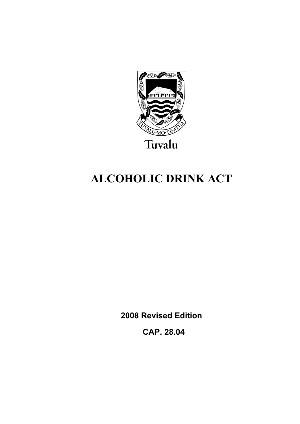

# **ALCOHOLIC DRINK ACT**

**2008 Revised Edition** 

 **CAP. 28.04**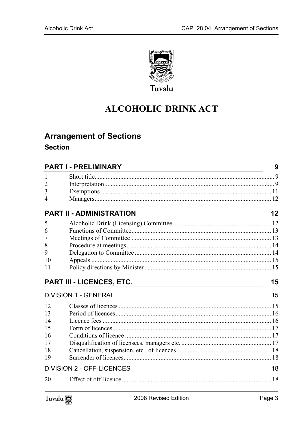

## **ALCOHOLIC DRINK ACT**

## **Arrangement of Sections**

## **Section**

| <b>PART I - PRELIMINARY</b> |                                  | 9  |
|-----------------------------|----------------------------------|----|
| 1                           |                                  |    |
| $\overline{2}$              |                                  |    |
| 3                           |                                  |    |
| 4                           |                                  |    |
|                             | <b>PART II - ADMINISTRATION</b>  | 12 |
| 5                           |                                  |    |
| 6                           |                                  |    |
| 7                           |                                  |    |
| 8                           |                                  |    |
| 9                           |                                  |    |
| 10                          |                                  |    |
| 11                          |                                  |    |
|                             |                                  |    |
|                             | PART III - LICENCES, ETC.        | 15 |
|                             | <b>DIVISION 1 - GENERAL</b>      | 15 |
| 12                          |                                  |    |
| 13                          |                                  |    |
| 14                          |                                  |    |
| 15                          |                                  |    |
| 16                          |                                  |    |
| 17                          |                                  |    |
| 18                          |                                  |    |
| 19                          |                                  |    |
|                             | <b>DIVISION 2 - OFF-LICENCES</b> | 18 |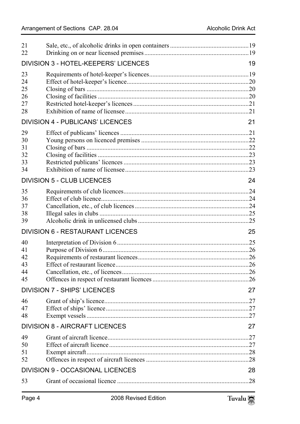| 21<br>22                         |                                             |     |
|----------------------------------|---------------------------------------------|-----|
|                                  | <b>DIVISION 3 - HOTEL-KEEPERS' LICENCES</b> | 19  |
| 23<br>24<br>25<br>26<br>27<br>28 |                                             |     |
|                                  | <b>DIVISION 4 - PUBLICANS' LICENCES</b>     | 21  |
| 29<br>30<br>31<br>32<br>33<br>34 |                                             |     |
|                                  | <b>DIVISION 5 - CLUB LICENCES</b>           | 24  |
| 35<br>36<br>37<br>38<br>39       |                                             |     |
|                                  | <b>DIVISION 6 - RESTAURANT LICENCES</b>     | 25  |
| 40<br>41<br>42<br>43<br>44<br>45 |                                             |     |
|                                  | <b>DIVISION 7 - SHIPS' LICENCES</b>         | 27  |
| 46<br>47<br>48                   | Grant of ship's licence                     | 27  |
|                                  | <b>DIVISION 8 - AIRCRAFT LICENCES</b>       | 27  |
| 49<br>50<br>51<br>52             |                                             | .27 |
|                                  | <b>DIVISION 9 - OCCASIONAL LICENCES</b>     | 28  |
| 53                               |                                             | 28  |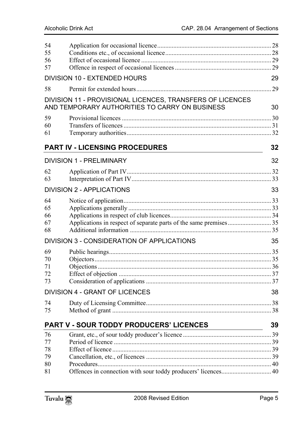| 54 |                                                                                                             |             |
|----|-------------------------------------------------------------------------------------------------------------|-------------|
| 55 |                                                                                                             |             |
| 56 |                                                                                                             |             |
| 57 |                                                                                                             |             |
|    | <b>DIVISION 10 - EXTENDED HOURS</b>                                                                         | 29          |
| 58 |                                                                                                             |             |
|    | DIVISION 11 - PROVISIONAL LICENCES, TRANSFERS OF LICENCES<br>AND TEMPORARY AUTHORITIES TO CARRY ON BUSINESS | 30          |
| 59 |                                                                                                             |             |
| 60 |                                                                                                             |             |
| 61 |                                                                                                             |             |
|    | <b>PART IV - LICENSING PROCEDURES</b>                                                                       | 32          |
|    | <b>DIVISION 1 - PRELIMINARY</b>                                                                             | 32          |
| 62 |                                                                                                             |             |
| 63 |                                                                                                             |             |
|    | <b>DIVISION 2 - APPLICATIONS</b>                                                                            | 33          |
| 64 |                                                                                                             |             |
| 65 |                                                                                                             |             |
| 66 |                                                                                                             |             |
| 67 |                                                                                                             |             |
| 68 |                                                                                                             |             |
|    | DIVISION 3 - CONSIDERATION OF APPLICATIONS                                                                  | 35          |
| 69 |                                                                                                             |             |
| 70 |                                                                                                             |             |
| 71 |                                                                                                             |             |
| 72 |                                                                                                             |             |
| 73 |                                                                                                             |             |
|    | <b>DIVISION 4 - GRANT OF LICENCES</b>                                                                       | 38          |
| 74 |                                                                                                             | $\ldots$ 38 |
| 75 |                                                                                                             |             |
|    | <b>PART V - SOUR TODDY PRODUCERS' LICENCES</b>                                                              | 39          |
| 76 |                                                                                                             |             |
| 77 |                                                                                                             |             |
| 78 |                                                                                                             |             |
| 79 |                                                                                                             |             |
| 80 |                                                                                                             |             |
| 81 |                                                                                                             |             |
|    |                                                                                                             |             |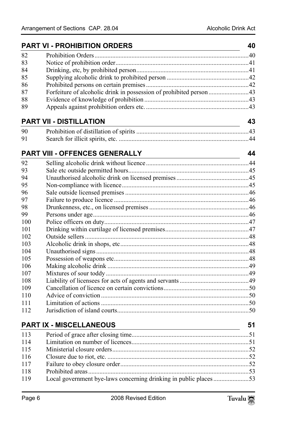|     | <b>PART VI - PROHIBITION ORDERS</b>                                                                                                                   |    |
|-----|-------------------------------------------------------------------------------------------------------------------------------------------------------|----|
| 82  |                                                                                                                                                       |    |
| 83  |                                                                                                                                                       |    |
| 84  |                                                                                                                                                       |    |
| 85  |                                                                                                                                                       |    |
| 86  |                                                                                                                                                       |    |
| 87  | Forfeiture of alcoholic drink in possession of prohibited person43                                                                                    |    |
| 88  |                                                                                                                                                       |    |
| 89  |                                                                                                                                                       |    |
|     | <b>PART VII - DISTILLATION</b>                                                                                                                        | 43 |
| 90  |                                                                                                                                                       |    |
| 91  |                                                                                                                                                       |    |
|     | PART VIII - OFFENCES GENERALLY                                                                                                                        | 44 |
| 92  |                                                                                                                                                       |    |
| 93  |                                                                                                                                                       |    |
| 94  |                                                                                                                                                       |    |
| 95  |                                                                                                                                                       |    |
| 96  |                                                                                                                                                       |    |
| 97  |                                                                                                                                                       |    |
| 98  |                                                                                                                                                       |    |
| 99  |                                                                                                                                                       |    |
| 100 |                                                                                                                                                       |    |
| 101 |                                                                                                                                                       |    |
| 102 |                                                                                                                                                       |    |
| 103 |                                                                                                                                                       |    |
| 104 |                                                                                                                                                       |    |
| 105 |                                                                                                                                                       |    |
| 106 |                                                                                                                                                       |    |
| 107 |                                                                                                                                                       |    |
| 108 |                                                                                                                                                       |    |
| 109 |                                                                                                                                                       |    |
| 110 |                                                                                                                                                       |    |
| 111 |                                                                                                                                                       |    |
| 112 |                                                                                                                                                       |    |
|     | <b>PART IX - MISCELLANEOUS</b><br><u> 1980 - Johann Barn, mars eta bainar eta baina eta baina eta baina eta baina eta baina eta baina eta baina e</u> | 51 |
| 113 |                                                                                                                                                       |    |
| 114 |                                                                                                                                                       |    |
| 115 |                                                                                                                                                       |    |
| 116 |                                                                                                                                                       |    |
| 117 |                                                                                                                                                       |    |
| 118 |                                                                                                                                                       |    |
| 119 | Local government bye-laws concerning drinking in public places 53                                                                                     |    |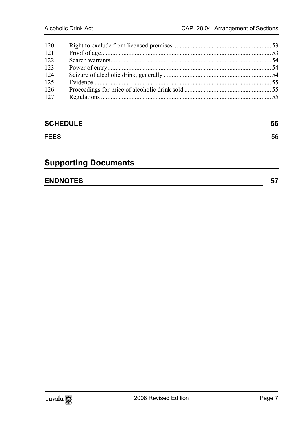| 120 |  |
|-----|--|
| 121 |  |
| 122 |  |
| 123 |  |
| 124 |  |
| 125 |  |
| 126 |  |
| 127 |  |
|     |  |

## **SCHEDULE** 56

#### FEES 56

## **Supporting Documents**

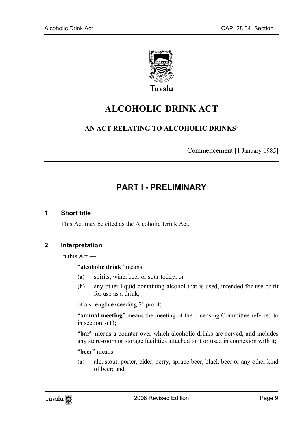

Tuvalu

## **ALCOHOLIC DRINK ACT**

## **AN ACT RELATING TO ALCOHOLIC DRINKS**<sup>1</sup>

<span id="page-8-0"></span>Commencement [1 January 1985]

## <span id="page-8-1"></span>**PART I - PRELIMINARY**

#### **1 Short title**

This Act may be cited as the Alcoholic Drink Act.

#### **2 Interpretation**

In this Act —

"**alcoholic drink**" means —

- (a) spirits, wine, beer or sour toddy; or
- (b) any other liquid containing alcohol that is used, intended for use or fit for use as a drink,

of a strength exceeding 2° proof;

"**annual meeting**" means the meeting of the Licensing Committee referred to in section  $7(1)$ ;

"bar" means a counter over which alcoholic drinks are served, and includes any store-room or storage facilities attached to it or used in connexion with it;

"**beer**" means —

(a) ale, stout, porter, cider, perry, spruce beer, black beer or any other kind of beer; and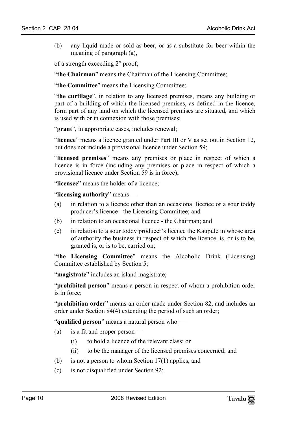(b) any liquid made or sold as beer, or as a substitute for beer within the meaning of paragraph (a),

of a strength exceeding 2° proof;

"**the Chairman**" means the Chairman of the Licensing Committee;

"**the Committee**" means the Licensing Committee;

"**the curtilage**", in relation to any licensed premises, means any building or part of a building of which the licensed premises, as defined in the licence, form part of any land on which the licensed premises are situated, and which is used with or in connexion with those premises;

"**grant**", in appropriate cases, includes renewal;

"**licence**" means a licence granted under Part III or V as set out in Section 12, but does not include a provisional licence under Section 59;

"**licensed premises**" means any premises or place in respect of which a licence is in force (including any premises or place in respect of which a provisional licence under Section 59 is in force);

"**licensee**" means the holder of a licence;

"**licensing authority**" means —

- (a) in relation to a licence other than an occasional licence or a sour toddy producer's licence - the Licensing Committee; and
- (b) in relation to an occasional licence the Chairman; and
- (c) in relation to a sour toddy producer's licence the Kaupule in whose area of authority the business in respect of which the licence, is, or is to be, granted is, or is to be, carried on;

"**the Licensing Committee**" means the Alcoholic Drink (Licensing) Committee established by Section 5;

"**magistrate**" includes an island magistrate;

"**prohibited person**" means a person in respect of whom a prohibition order is in force;

"**prohibition order**" means an order made under Section 82, and includes an order under Section 84(4) extending the period of such an order;

"**qualified person**" means a natural person who —

- (a) is a fit and proper person
	- (i) to hold a licence of the relevant class; or
	- (ii) to be the manager of the licensed premises concerned; and
- (b) is not a person to whom Section 17(1) applies, and
- (c) is not disqualified under Section 92;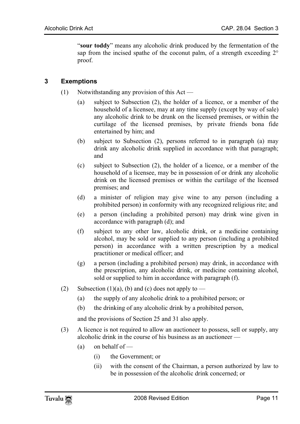"**sour toddy**" means any alcoholic drink produced by the fermentation of the sap from the incised spathe of the coconut palm, of a strength exceeding 2° proof.

#### **3 Exemptions**

- (1) Notwithstanding any provision of this Act
	- (a) subject to Subsection (2), the holder of a licence, or a member of the household of a licensee, may at any time supply (except by way of sale) any alcoholic drink to be drunk on the licensed premises, or within the curtilage of the licensed premises, by private friends bona fide entertained by him; and
	- (b) subject to Subsection (2), persons referred to in paragraph (a) may drink any alcoholic drink supplied in accordance with that paragraph; and
	- (c) subject to Subsection (2), the holder of a licence, or a member of the household of a licensee, may be in possession of or drink any alcoholic drink on the licensed premises or within the curtilage of the licensed premises; and
	- (d) a minister of religion may give wine to any person (including a prohibited person) in conformity with any recognized religious rite; and
	- (e) a person (including a prohibited person) may drink wine given in accordance with paragraph (d); and
	- (f) subject to any other law, alcoholic drink, or a medicine containing alcohol, may be sold or supplied to any person (including a prohibited person) in accordance with a written prescription by a medical practitioner or medical officer; and
	- (g) a person (including a prohibited person) may drink, in accordance with the prescription, any alcoholic drink, or medicine containing alcohol, sold or supplied to him in accordance with paragraph (f).
- (2) Subsection (1)(a), (b) and (c) does not apply to  $-$ 
	- (a) the supply of any alcoholic drink to a prohibited person; or
	- (b) the drinking of any alcoholic drink by a prohibited person,

and the provisions of Section 25 and 31 also apply.

- (3) A licence is not required to allow an auctioneer to possess, sell or supply, any alcoholic drink in the course of his business as an auctioneer —
	- (a) on behalf of  $-$ 
		- (i) the Government; or
		- (ii) with the consent of the Chairman, a person authorized by law to be in possession of the alcoholic drink concerned; or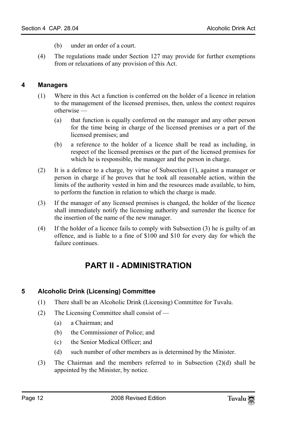- <span id="page-11-0"></span>(b) under an order of a court.
- (4) The regulations made under Section 127 may provide for further exemptions from or relaxations of any provision of this Act.

## **4 Managers**

- (1) Where in this Act a function is conferred on the holder of a licence in relation to the management of the licensed premises, then, unless the context requires otherwise —
	- (a) that function is equally conferred on the manager and any other person for the time being in charge of the licensed premises or a part of the licensed premises; and
	- (b) a reference to the holder of a licence shall be read as including, in respect of the licensed premises or the part of the licensed premises for which he is responsible, the manager and the person in charge.
- (2) It is a defence to a charge, by virtue of Subsection (1), against a manager or person in charge if he proves that he took all reasonable action, within the limits of the authority vested in him and the resources made available, to him, to perform the function in relation to which the charge is made.
- (3) If the manager of any licensed premises is changed, the holder of the licence shall immediately notify the licensing authority and surrender the licence for the insertion of the name of the new manager.
- (4) If the holder of a licence fails to comply with Subsection (3) he is guilty of an offence, and is liable to a fine of \$100 and \$10 for every day for which the failure continues.

## <span id="page-11-2"></span><span id="page-11-1"></span>**PART II - ADMINISTRATION**

## **5 Alcoholic Drink (Licensing) Committee**

- (1) There shall be an Alcoholic Drink (Licensing) Committee for Tuvalu.
- (2) The Licensing Committee shall consist of
	- (a) a Chairman; and
	- (b) the Commissioner of Police; and
	- (c) the Senior Medical Officer; and
	- (d) such number of other members as is determined by the Minister.
- (3) The Chairman and the members referred to in Subsection (2)(d) shall be appointed by the Minister, by notice.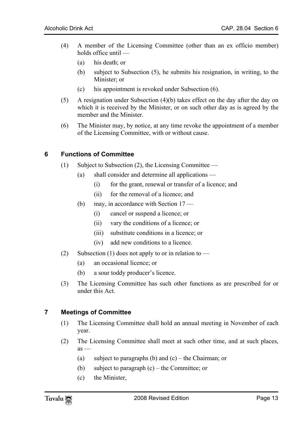- (4) A member of the Licensing Committee (other than an ex officio member) holds office until —
	- (a) his death; or
	- (b) subject to Subsection (5), he submits his resignation, in writing, to the Minister; or
	- (c) his appointment is revoked under Subsection (6).
- (5) A resignation under Subsection (4)(b) takes effect on the day after the day on which it is received by the Minister, or on such other day as is agreed by the member and the Minister.
- <span id="page-12-0"></span>(6) The Minister may, by notice, at any time revoke the appointment of a member of the Licensing Committee, with or without cause.

#### **6 Functions of Committee**

- (1) Subject to Subsection (2), the Licensing Committee
	- (a) shall consider and determine all applications
		- (i) for the grant, renewal or transfer of a licence; and
		- (ii) for the removal of a licence; and
	- (b) may, in accordance with Section 17
		- (i) cancel or suspend a licence; or
		- (ii) vary the conditions of a licence; or
		- (iii) substitute conditions in a licence; or
		- (iv) add new conditions to a licence.
- (2) Subsection (1) does not apply to or in relation to
	- (a) an occasional licence; or
	- (b) a sour toddy producer's licence.
- <span id="page-12-1"></span>(3) The Licensing Committee has such other functions as are prescribed for or under this Act.

#### **7 Meetings of Committee**

- (1) The Licensing Committee shall hold an annual meeting in November of each year.
- (2) The Licensing Committee shall meet at such other time, and at such places,  $as -$ 
	- (a) subject to paragraphs (b) and  $(c)$  the Chairman; or
	- (b) subject to paragraph (c) the Committee; or
	- (c) the Minister,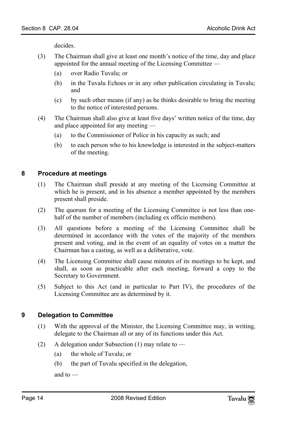decides.

- (3) The Chairman shall give at least one month's notice of the time, day and place appointed for the annual meeting of the Licensing Committee —
	- (a) over Radio Tuvalu; or
	- (b) in the Tuvalu Echoes or in any other publication circulating in Tuvalu; and
	- (c) by such other means (if any) as he thinks desirable to bring the meeting to the notice of interested persons.
- <span id="page-13-0"></span>(4) The Chairman shall also give at least five days' written notice of the time, day and place appointed for any meeting —
	- (a) to the Commissioner of Police in his capacity as such; and
	- (b) to each person who to his knowledge is interested in the subject-matters of the meeting.

#### **8 Procedure at meetings**

- (1) The Chairman shall preside at any meeting of the Licensing Committee at which he is present, and in his absence a member appointed by the members present shall preside.
- (2) The quorum for a meeting of the Licensing Committee is not less than onehalf of the number of members (including ex officio members).
- (3) All questions before a meeting of the Licensing Committee shall be determined in accordance with the votes of the majority of the members present and voting, and in the event of an equality of votes on a matter the Chairman has a casting, as well as a deliberative, vote.
- (4) The Licensing Committee shall cause minutes of its meetings to be kept, and shall, as soon as practicable after each meeting, forward a copy to the Secretary to Government.
- <span id="page-13-1"></span>(5) Subject to this Act (and in particular to Part IV), the procedures of the Licensing Committee are as determined by it.

#### **9 Delegation to Committee**

- (1) With the approval of the Minister, the Licensing Committee may, in writing, delegate to the Chairman all or any of its functions under this Act.
- (2) A delegation under Subsection (1) may relate to
	- (a) the whole of Tuvalu; or
	- (b) the part of Tuvalu specified in the delegation,

and to —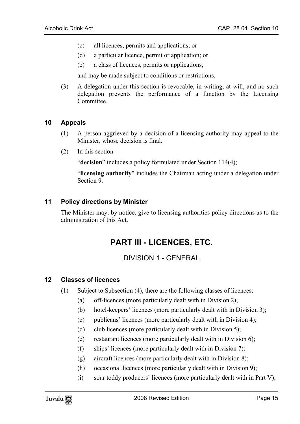- (c) all licences, permits and applications; or
- (d) a particular licence, permit or application; or
- (e) a class of licences, permits or applications,

<span id="page-14-0"></span>and may be made subject to conditions or restrictions.

(3) A delegation under this section is revocable, in writing, at will, and no such delegation prevents the performance of a function by the Licensing Committee.

#### **10 Appeals**

- (1) A person aggrieved by a decision of a licensing authority may appeal to the Minister, whose decision is final.
- $(2)$  In this section —

<span id="page-14-1"></span>"**decision**" includes a policy formulated under Section 114(4);

"**licensing authority**" includes the Chairman acting under a delegation under Section 9.

#### **11 Policy directions by Minister**

The Minister may, by notice, give to licensing authorities policy directions as to the administration of this Act.

## <span id="page-14-4"></span><span id="page-14-2"></span>**PART III - LICENCES, ETC.**

## <span id="page-14-3"></span>DIVISION 1 - GENERAL

#### **12 Classes of licences**

- (1) Subject to Subsection (4), there are the following classes of licences:
	- (a) off-licences (more particularly dealt with in Division 2);
	- (b) hotel-keepers' licences (more particularly dealt with in Division 3);
	- (c) publicans' licences (more particularly dealt with in Division 4);
	- (d) club licences (more particularly dealt with in Division 5);
	- (e) restaurant licences (more particularly dealt with in Division 6);
	- (f) ships' licences (more particularly dealt with in Division 7);
	- (g) aircraft licences (more particularly dealt with in Division 8);
	- (h) occasional licences (more particularly dealt with in Division 9);
	- (i) sour toddy producers' licences (more particularly dealt with in Part V);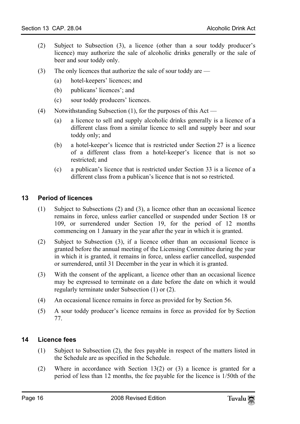- (2) Subject to Subsection (3), a licence (other than a sour toddy producer's licence) may authorize the sale of alcoholic drinks generally or the sale of beer and sour toddy only.
- (3) The only licences that authorize the sale of sour toddy are
	- (a) hotel-keepers' licences; and
	- (b) publicans' licences'; and
	- (c) sour toddy producers' licences.
- (4) Notwithstanding Subsection (1), for the purposes of this Act
	- (a) a licence to sell and supply alcoholic drinks generally is a licence of a different class from a similar licence to sell and supply beer and sour toddy only; and
	- (b) a hotel-keeper's licence that is restricted under Section 27 is a licence of a different class from a hotel-keeper's licence that is not so restricted; and
	- (c) a publican's licence that is restricted under Section 33 is a licence of a different class from a publican's licence that is not so restricted.

#### <span id="page-15-0"></span>**13 Period of licences**

- (1) Subject to Subsections (2) and (3), a licence other than an occasional licence remains in force, unless earlier cancelled or suspended under Section 18 or 109, or surrendered under Section 19, for the period of 12 months commencing on 1 January in the year after the year in which it is granted.
- (2) Subject to Subsection (3), if a licence other than an occasional licence is granted before the annual meeting of the Licensing Committee during the year in which it is granted, it remains in force, unless earlier cancelled, suspended or surrendered, until 31 December in the year in which it is granted.
- (3) With the consent of the applicant, a licence other than an occasional licence may be expressed to terminate on a date before the date on which it would regularly terminate under Subsection (1) or (2).
- <span id="page-15-1"></span>(4) An occasional licence remains in force as provided for by Section 56.
- (5) A sour toddy producer's licence remains in force as provided for by Section 77.

#### **14 Licence fees**

- (1) Subject to Subsection (2), the fees payable in respect of the matters listed in the Schedule are as specified in the Schedule.
- (2) Where in accordance with Section 13(2) or (3) a licence is granted for a period of less than 12 months, the fee payable for the licence is 1/50th of the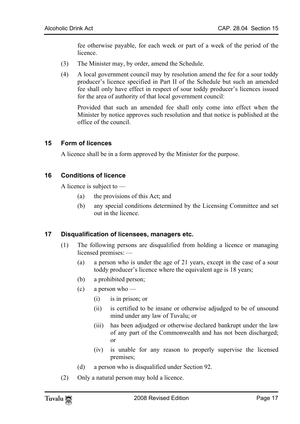fee otherwise payable, for each week or part of a week of the period of the licence.

- (3) The Minister may, by order, amend the Schedule.
- (4) A local government council may by resolution amend the fee for a sour toddy producer's licence specified in Part II of the Schedule but such an amended fee shall only have effect in respect of sour toddy producer's licences issued for the area of authority of that local government council:

<span id="page-16-0"></span>Provided that such an amended fee shall only come into effect when the Minister by notice approves such resolution and that notice is published at the office of the council.

#### **15 Form of licences**

<span id="page-16-1"></span>A licence shall be in a form approved by the Minister for the purpose.

#### **16 Conditions of licence**

A licence is subject to —

- <span id="page-16-2"></span>(a) the provisions of this Act; and
- (b) any special conditions determined by the Licensing Committee and set out in the licence.

#### **17 Disqualification of licensees, managers etc.**

- (1) The following persons are disqualified from holding a licence or managing licensed premises: —
	- (a) a person who is under the age of 21 years, except in the case of a sour toddy producer's licence where the equivalent age is 18 years;
	- (b) a prohibited person;
	- (c) a person who
		- (i) is in prison; or
		- (ii) is certified to be insane or otherwise adjudged to be of unsound mind under any law of Tuvalu; or
		- (iii) has been adjudged or otherwise declared bankrupt under the law of any part of the Commonwealth and has not been discharged; or
		- (iv) is unable for any reason to properly supervise the licensed premises;
	- (d) a person who is disqualified under Section 92.
- (2) Only a natural person may hold a licence.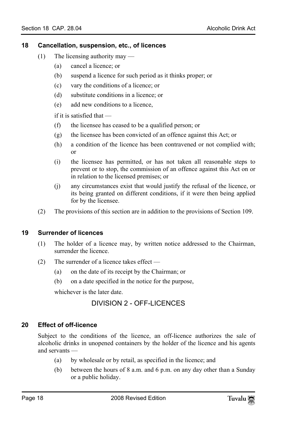#### <span id="page-17-0"></span>**18 Cancellation, suspension, etc., of licences**

- (1) The licensing authority may
	- (a) cancel a licence; or
	- (b) suspend a licence for such period as it thinks proper; or
	- (c) vary the conditions of a licence; or
	- (d) substitute conditions in a licence; or
	- (e) add new conditions to a licence,

if it is satisfied that —

- (f) the licensee has ceased to be a qualified person; or
- (g) the licensee has been convicted of an offence against this Act; or
- (h) a condition of the licence has been contravened or not complied with; or
- (i) the licensee has permitted, or has not taken all reasonable steps to prevent or to stop, the commission of an offence against this Act on or in relation to the licensed premises; or
- <span id="page-17-1"></span>(j) any circumstances exist that would justify the refusal of the licence, or its being granted on different conditions, if it were then being applied for by the licensee.
- (2) The provisions of this section are in addition to the provisions of Section 109.

## **19 Surrender of licences**

- (1) The holder of a licence may, by written notice addressed to the Chairman, surrender the licence.
- (2) The surrender of a licence takes effect
	- (a) on the date of its receipt by the Chairman; or
	- (b) on a date specified in the notice for the purpose,

<span id="page-17-3"></span>whichever is the later date.

## <span id="page-17-2"></span>DIVISION 2 - OFF-LICENCES

## **20 Effect of off-licence**

Subject to the conditions of the licence, an off-licence authorizes the sale of alcoholic drinks in unopened containers by the holder of the licence and his agents and servants —

- (a) by wholesale or by retail, as specified in the licence; and
- (b) between the hours of 8 a.m. and 6 p.m. on any day other than a Sunday or a public holiday.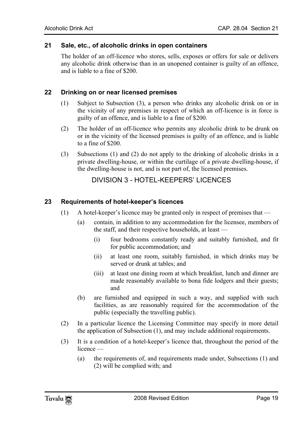#### **21 Sale, etc., of alcoholic drinks in open containers**

The holder of an off-licence who stores, sells, exposes or offers for sale or delivers any alcoholic drink otherwise than in an unopened container is guilty of an offence, and is liable to a fine of \$200.

#### **22 Drinking on or near licensed premises**

- (1) Subject to Subsection (3), a person who drinks any alcoholic drink on or in the vicinity of any premises in respect of which an off-licence is in force is guilty of an offence, and is liable to a fine of \$200.
- (2) The holder of an off-licence who permits any alcoholic drink to be drunk on or in the vicinity of the licensed premises is guilty of an offence, and is liable to a fine of \$200.
- (3) Subsections (1) and (2) do not apply to the drinking of alcoholic drinks in a private dwelling-house, or within the curtilage of a private dwelling-house, if the dwelling-house is not, and is not part of, the licensed premises.

## <span id="page-18-0"></span>DIVISION 3 - HOTEL-KEEPERS' LICENCES

#### **23 Requirements of hotel-keeper's licences**

- (1) A hotel-keeper's licence may be granted only in respect of premises that
	- (a) contain, in addition to any accommodation for the licensee, members of the staff, and their respective households, at least —
		- (i) four bedrooms constantly ready and suitably furnished, and fit for public accommodation; and
		- (ii) at least one room, suitably furnished, in which drinks may be served or drunk at tables; and
		- (iii) at least one dining room at which breakfast, lunch and dinner are made reasonably available to bona fide lodgers and their guests; and
	- (b) are furnished and equipped in such a way, and supplied with such facilities, as are reasonably required for the accommodation of the public (especially the travelling public).
- (2) In a particular licence the Licensing Committee may specify in more detail the application of Subsection (1), and may include additional requirements.
- (3) It is a condition of a hotel-keeper's licence that, throughout the period of the licence —
	- (a) the requirements of, and requirements made under, Subsections (1) and (2) will be complied with; and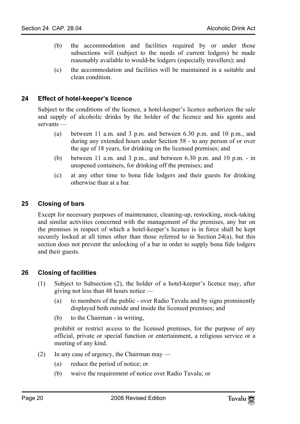- (b) the accommodation and facilities required by or under those subsections will (subject to the needs of current lodgers) be made reasonably available to would-be lodgers (especially travellers); and
- <span id="page-19-0"></span>(c) the accommodation and facilities will be maintained in a suitable and clean condition.

#### **24 Effect of hotel-keeper's licence**

Subject to the conditions of the licence, a hotel-keeper's licence authorizes the sale and supply of alcoholic drinks by the holder of the licence and his agents and servants —

- (a) between 11 a.m. and 3 p.m. and between 6.30 p.m. and 10 p.m., and during any extended hours under Section 58 - to any person of or over the age of 18 years, for drinking on the licensed premises; and
- <span id="page-19-1"></span>(b) between 11 a.m. and 3 p.m., and between 6.30 p.m. and 10 p.m. - in unopened containers, for drinking off the premises; and
- (c) at any other time to bona fide lodgers and their guests for drinking otherwise than at a bar.

#### **25 Closing of bars**

<span id="page-19-2"></span>Except for necessary purposes of maintenance, cleaning-up, restocking, stock-taking and similar activities concerned with the management of the premises, any bar on the premises in respect of which a hotel-keeper's licence is in force shall be kept securely locked at all times other than those referred to in Section 24(a), but this section does not prevent the unlocking of a bar in order to supply bona fide lodgers and their guests.

## **26 Closing of facilities**

- (1) Subject to Subsection (2), the holder of a hotel-keeper's licence may, after giving not less than 48 hours notice —
	- (a) to members of the public over Radio Tuvalu and by signs prominently displayed both outside and inside the licensed premises; and
	- (b) to the Chairman in writing,

prohibit or restrict access to the licensed premises, for the purpose of any official, private or special function or entertainment, a religious service or a meeting of any kind.

- (2) In any case of urgency, the Chairman may
	- (a) reduce the period of notice; or
	- (b) waive the requirement of notice over Radio Tuvalu; or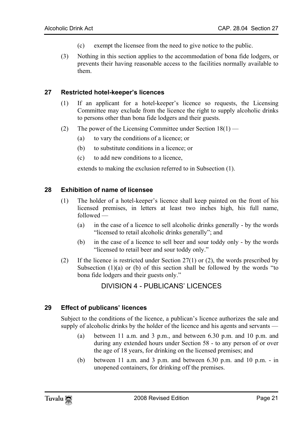- <span id="page-20-0"></span>(c) exempt the licensee from the need to give notice to the public.
- (3) Nothing in this section applies to the accommodation of bona fide lodgers, or prevents their having reasonable access to the facilities normally available to them.

#### **27 Restricted hotel-keeper's licences**

- (1) If an applicant for a hotel-keeper's licence so requests, the Licensing Committee may exclude from the licence the right to supply alcoholic drinks to persons other than bona fide lodgers and their guests.
- (2) The power of the Licensing Committee under Section  $18(1)$ 
	- (a) to vary the conditions of a licence; or
	- (b) to substitute conditions in a licence; or
	- (c) to add new conditions to a licence,

<span id="page-20-1"></span>extends to making the exclusion referred to in Subsection (1).

#### **28 Exhibition of name of licensee**

- (1) The holder of a hotel-keeper's licence shall keep painted on the front of his licensed premises, in letters at least two inches high, his full name, followed —
	- (a) in the case of a licence to sell alcoholic drinks generally by the words "licensed to retail alcoholic drinks generally"; and
	- (b) in the case of a licence to sell beer and sour toddy only by the words "licensed to retail beer and sour toddy only."
- <span id="page-20-3"></span>(2) If the licence is restricted under Section 27(1) or (2), the words prescribed by Subsection  $(1)(a)$  or  $(b)$  of this section shall be followed by the words "to bona fide lodgers and their guests only."

## <span id="page-20-2"></span>DIVISION 4 - PUBLICANS' LICENCES

#### **29 Effect of publicans' licences**

Subject to the conditions of the licence, a publican's licence authorizes the sale and supply of alcoholic drinks by the holder of the licence and his agents and servants —

- (a) between 11 a.m. and 3 p.m., and between 6.30 p.m. and 10 p.m. and during any extended hours under Section 58 - to any person of or over the age of 18 years, for drinking on the licensed premises; and
- (b) between 11 a.m. and 3 p.m. and between 6.30 p.m. and 10 p.m. in unopened containers, for drinking off the premises.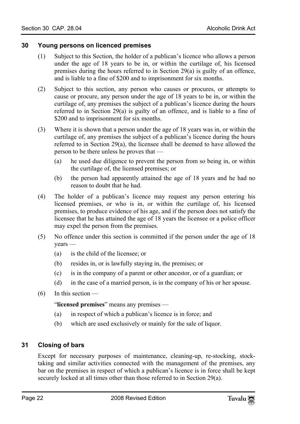#### <span id="page-21-0"></span>**30 Young persons on licenced premises**

- (1) Subject to this Section, the holder of a publican's licence who allows a person under the age of 18 years to be in, or within the curtilage of, his licensed premises during the hours referred to in Section 29(a) is guilty of an offence, and is liable to a fine of \$200 and to imprisonment for six months.
- (2) Subject to this section, any person who causes or procures, or attempts to cause or procure, any person under the age of 18 years to be in, or within the curtilage of, any premises the subject of a publican's licence during the hours referred to in Section 29(a) is guilty of an offence, and is liable to a fine of \$200 and to imprisonment for six months.
- (3) Where it is shown that a person under the age of 18 years was in, or within the curtilage of, any premises the subject of a publican's licence during the hours referred to in Section 29(a), the licensee shall be deemed to have allowed the person to be there unless he proves that —
	- (a) he used due diligence to prevent the person from so being in, or within the curtilage of, the licensed premises; or
	- (b) the person had apparently attained the age of 18 years and he had no reason to doubt that he had.
- (4) The holder of a publican's licence may request any person entering his licensed premises, or who is in, or within the curtilage of, his licensed premises, to produce evidence of his age, and if the person does not satisfy the licensee that he has attained the age of 18 years the licensee or a police officer may expel the person from the premises.
- (5) No offence under this section is committed if the person under the age of 18 years —
	- (a) is the child of the licensee; or
	- (b) resides in, or is lawfully staying in, the premises; or
	- (c) is in the company of a parent or other ancestor, or of a guardian; or
	- (d) in the case of a married person, is in the company of his or her spouse.
- $(6)$  In this section —

<span id="page-21-1"></span>"**licensed premises**" means any premises —

- (a) in respect of which a publican's licence is in force; and
- (b) which are used exclusively or mainly for the sale of liquor.

## **31 Closing of bars**

Except for necessary purposes of maintenance, cleaning-up, re-stocking, stocktaking and similar activities connected with the management of the premises, any bar on the premises in respect of which a publican's licence is in force shall be kept securely locked at all times other than those referred to in Section 29(a).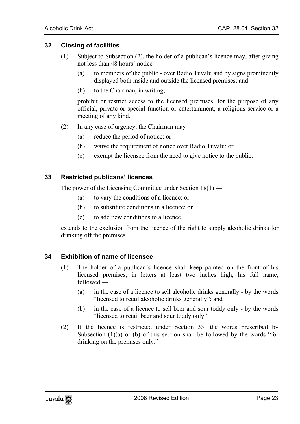#### **32 Closing of facilities**

- <span id="page-22-0"></span>(1) Subject to Subsection (2), the holder of a publican's licence may, after giving not less than 48 hours' notice —
	- (a) to members of the public over Radio Tuvalu and by signs prominently displayed both inside and outside the licensed premises; and
	- (b) to the Chairman, in writing,

prohibit or restrict access to the licensed premises, for the purpose of any official, private or special function or entertainment, a religious service or a meeting of any kind.

- <span id="page-22-1"></span>(2) In any case of urgency, the Chairman may —
	- (a) reduce the period of notice; or
	- (b) waive the requirement of notice over Radio Tuvalu; or
	- (c) exempt the licensee from the need to give notice to the public.

#### **33 Restricted publicans' licences**

The power of the Licensing Committee under Section 18(1) —

- (a) to vary the conditions of a licence; or
- (b) to substitute conditions in a licence; or
- <span id="page-22-2"></span>(c) to add new conditions to a licence,

extends to the exclusion from the licence of the right to supply alcoholic drinks for drinking off the premises.

#### **34 Exhibition of name of licensee**

- (1) The holder of a publican's licence shall keep painted on the front of his licensed premises, in letters at least two inches high, his full name, followed —
	- (a) in the case of a licence to sell alcoholic drinks generally by the words "licensed to retail alcoholic drinks generally"; and
	- (b) in the case of a licence to sell beer and sour toddy only by the words "licensed to retail beer and sour toddy only."
- (2) If the licence is restricted under Section 33, the words prescribed by Subsection  $(1)(a)$  or  $(b)$  of this section shall be followed by the words "for drinking on the premises only."

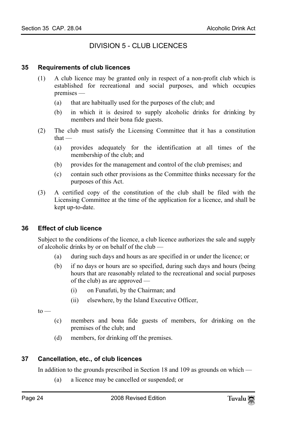## <span id="page-23-1"></span><span id="page-23-0"></span>DIVISION 5 - CLUB LICENCES

#### **35 Requirements of club licences**

- (1) A club licence may be granted only in respect of a non-profit club which is established for recreational and social purposes, and which occupies premises —
	- (a) that are habitually used for the purposes of the club; and
	- (b) in which it is desired to supply alcoholic drinks for drinking by members and their bona fide guests.
- (2) The club must satisfy the Licensing Committee that it has a constitution that —
	- (a) provides adequately for the identification at all times of the membership of the club; and
	- (b) provides for the management and control of the club premises; and
	- (c) contain such other provisions as the Committee thinks necessary for the purposes of this Act.
- <span id="page-23-2"></span>(3) A certified copy of the constitution of the club shall be filed with the Licensing Committee at the time of the application for a licence, and shall be kept up-to-date.

## **36 Effect of club licence**

Subject to the conditions of the licence, a club licence authorizes the sale and supply of alcoholic drinks by or on behalf of the club —

- (a) during such days and hours as are specified in or under the licence; or
- (b) if no days or hours are so specified, during such days and hours (being hours that are reasonably related to the recreational and social purposes of the club) as are approved —
	- (i) on Funafuti, by the Chairman; and
	- (ii) elsewhere, by the Island Executive Officer,

 $to -$ 

- <span id="page-23-3"></span>(c) members and bona fide guests of members, for drinking on the premises of the club; and
- (d) members, for drinking off the premises.

## **37 Cancellation, etc., of club licences**

In addition to the grounds prescribed in Section 18 and 109 as grounds on which —

(a) a licence may be cancelled or suspended; or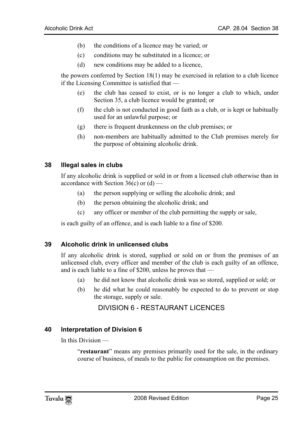- (b) the conditions of a licence may be varied; or
- (c) conditions may be substituted in a licence; or
- (d) new conditions may be added to a licence,

the powers conferred by Section 18(1) may be exercised in relation to a club licence if the Licensing Committee is satisfied that —

- (e) the club has ceased to exist, or is no longer a club to which, under Section 35, a club licence would be granted; or
- (f) the club is not conducted in good faith as a club, or is kept or habitually used for an unlawful purpose; or
- <span id="page-24-0"></span>(g) there is frequent drunkenness on the club premises; or
- (h) non-members are habitually admitted to the Club premises merely for the purpose of obtaining alcoholic drink.

#### **38 Illegal sales in clubs**

If any alcoholic drink is supplied or sold in or from a licensed club otherwise than in accordance with Section  $36(c)$  or  $(d)$  —

- (a) the person supplying or selling the alcoholic drink; and
- <span id="page-24-1"></span>(b) the person obtaining the alcoholic drink; and
- (c) any officer or member of the club permitting the supply or sale,

is each guilty of an offence, and is each liable to a fine of \$200.

#### **39 Alcoholic drink in unlicensed clubs**

If any alcoholic drink is stored, supplied or sold on or from the premises of an unlicensed club, every officer and member of the club is each guilty of an offence, and is each liable to a fine of \$200, unless he proves that —

- (a) he did not know that alcoholic drink was so stored, supplied or sold; or
- <span id="page-24-3"></span>(b) he did what he could reasonably be expected to do to prevent or stop the storage, supply or sale.

## <span id="page-24-2"></span>DIVISION 6 - RESTAURANT LICENCES

#### **40 Interpretation of Division 6**

In this Division —

"**restaurant**" means any premises primarily used for the sale, in the ordinary course of business, of meals to the public for consumption on the premises.

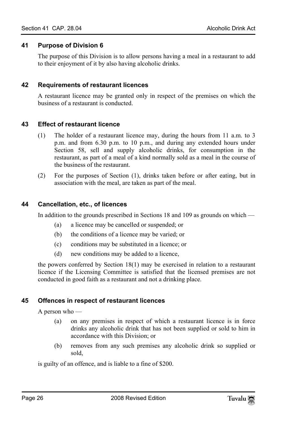#### **41 Purpose of Division 6**

<span id="page-25-1"></span><span id="page-25-0"></span>The purpose of this Division is to allow persons having a meal in a restaurant to add to their enjoyment of it by also having alcoholic drinks.

#### **42 Requirements of restaurant licences**

<span id="page-25-2"></span>A restaurant licence may be granted only in respect of the premises on which the business of a restaurant is conducted.

#### **43 Effect of restaurant licence**

- (1) The holder of a restaurant licence may, during the hours from 11 a.m. to 3 p.m. and from 6.30 p.m. to 10 p.m., and during any extended hours under Section 58, sell and supply alcoholic drinks, for consumption in the restaurant, as part of a meal of a kind normally sold as a meal in the course of the business of the restaurant.
- <span id="page-25-3"></span>(2) For the purposes of Section (1), drinks taken before or after eating, but in association with the meal, are taken as part of the meal.

#### **44 Cancellation, etc., of licences**

In addition to the grounds prescribed in Sections 18 and 109 as grounds on which —

- (a) a licence may be cancelled or suspended; or
- (b) the conditions of a licence may be varied; or
- (c) conditions may be substituted in a licence; or
- <span id="page-25-4"></span>(d) new conditions may be added to a licence,

the powers conferred by Section 18(1) may be exercised in relation to a restaurant licence if the Licensing Committee is satisfied that the licensed premises are not conducted in good faith as a restaurant and not a drinking place.

#### **45 Offences in respect of restaurant licences**

A person who —

- (a) on any premises in respect of which a restaurant licence is in force drinks any alcoholic drink that has not been supplied or sold to him in accordance with this Division; or
- (b) removes from any such premises any alcoholic drink so supplied or sold,

is guilty of an offence, and is liable to a fine of \$200.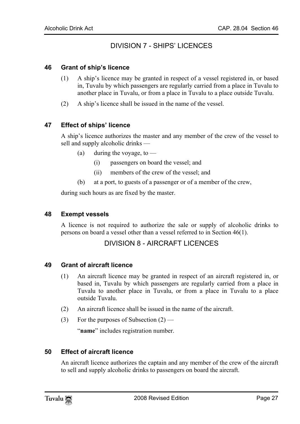## <span id="page-26-1"></span><span id="page-26-0"></span>DIVISION 7 - SHIPS' LICENCES

#### **46 Grant of ship's licence**

- <span id="page-26-2"></span>(1) A ship's licence may be granted in respect of a vessel registered in, or based in, Tuvalu by which passengers are regularly carried from a place in Tuvalu to another place in Tuvalu, or from a place in Tuvalu to a place outside Tuvalu.
- (2) A ship's licence shall be issued in the name of the vessel.

#### **47 Effect of ships' licence**

A ship's licence authorizes the master and any member of the crew of the vessel to sell and supply alcoholic drinks —

- (a) during the voyage, to  $-$ 
	- (i) passengers on board the vessel; and
	- (ii) members of the crew of the vessel; and
- <span id="page-26-3"></span>(b) at a port, to guests of a passenger or of a member of the crew,

during such hours as are fixed by the master.

#### **48 Exempt vessels**

<span id="page-26-5"></span>A licence is not required to authorize the sale or supply of alcoholic drinks to persons on board a vessel other than a vessel referred to in Section 46(1).

## <span id="page-26-4"></span>DIVISION 8 - AIRCRAFT LICENCES

#### **49 Grant of aircraft licence**

- (1) An aircraft licence may be granted in respect of an aircraft registered in, or based in, Tuvalu by which passengers are regularly carried from a place in Tuvalu to another place in Tuvalu, or from a place in Tuvalu to a place outside Tuvalu.
- (2) An aircraft licence shall be issued in the name of the aircraft.
- (3) For the purposes of Subsection  $(2)$  —

<span id="page-26-6"></span>"**name**" includes registration number.

#### **50 Effect of aircraft licence**

An aircraft licence authorizes the captain and any member of the crew of the aircraft to sell and supply alcoholic drinks to passengers on board the aircraft.

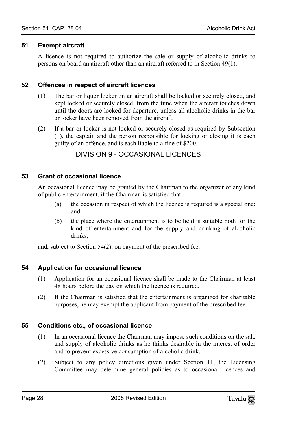#### **51 Exempt aircraft**

<span id="page-27-1"></span><span id="page-27-0"></span>A licence is not required to authorize the sale or supply of alcoholic drinks to persons on board an aircraft other than an aircraft referred to in Section 49(1).

#### **52 Offences in respect of aircraft licences**

- (1) The bar or liquor locker on an aircraft shall be locked or securely closed, and kept locked or securely closed, from the time when the aircraft touches down until the doors are locked for departure, unless all alcoholic drinks in the bar or locker have been removed from the aircraft.
- <span id="page-27-3"></span>(2) If a bar or locker is not locked or securely closed as required by Subsection (1), the captain and the person responsible for locking or closing it is each guilty of an offence, and is each liable to a fine of \$200.

## <span id="page-27-2"></span>DIVISION 9 - OCCASIONAL LICENCES

#### **53 Grant of occasional licence**

An occasional licence may be granted by the Chairman to the organizer of any kind of public entertainment, if the Chairman is satisfied that —

- (a) the occasion in respect of which the licence is required is a special one; and
- (b) the place where the entertainment is to be held is suitable both for the kind of entertainment and for the supply and drinking of alcoholic drinks,

and, subject to Section 54(2), on payment of the prescribed fee.

## **54 Application for occasional licence**

- (1) Application for an occasional licence shall be made to the Chairman at least 48 hours before the day on which the licence is required.
- (2) If the Chairman is satisfied that the entertainment is organized for charitable purposes, he may exempt the applicant from payment of the prescribed fee.

## **55 Conditions etc., of occasional licence**

- (1) In an occasional licence the Chairman may impose such conditions on the sale and supply of alcoholic drinks as he thinks desirable in the interest of order and to prevent excessive consumption of alcoholic drink.
- (2) Subject to any policy directions given under Section 11, the Licensing Committee may determine general policies as to occasional licences and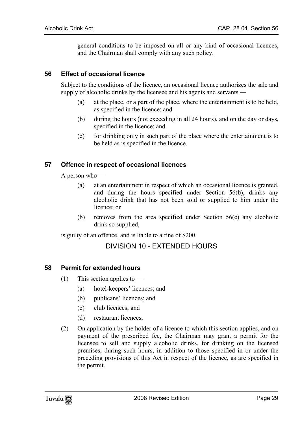<span id="page-28-0"></span>general conditions to be imposed on all or any kind of occasional licences, and the Chairman shall comply with any such policy.

#### **56 Effect of occasional licence**

Subject to the conditions of the licence, an occasional licence authorizes the sale and supply of alcoholic drinks by the licensee and his agents and servants —

- (a) at the place, or a part of the place, where the entertainment is to be held, as specified in the licence; and
- <span id="page-28-1"></span>(b) during the hours (not exceeding in all 24 hours), and on the day or days, specified in the licence; and
- (c) for drinking only in such part of the place where the entertainment is to be held as is specified in the licence.

#### **57 Offence in respect of occasional licences**

A person who —

- (a) at an entertainment in respect of which an occasional licence is granted, and during the hours specified under Section 56(b), drinks any alcoholic drink that has not been sold or supplied to him under the licence; or
- <span id="page-28-3"></span>(b) removes from the area specified under Section 56(c) any alcoholic drink so supplied,

is guilty of an offence, and is liable to a fine of \$200.

## <span id="page-28-2"></span>DIVISION 10 - EXTENDED HOURS

#### **58 Permit for extended hours**

- (1) This section applies to
	- (a) hotel-keepers' licences; and
	- (b) publicans' licences; and
	- (c) club licences; and
	- (d) restaurant licences,
- (2) On application by the holder of a licence to which this section applies, and on payment of the prescribed fee, the Chairman may grant a permit for the licensee to sell and supply alcoholic drinks, for drinking on the licensed premises, during such hours, in addition to those specified in or under the preceding provisions of this Act in respect of the licence, as are specified in the permit.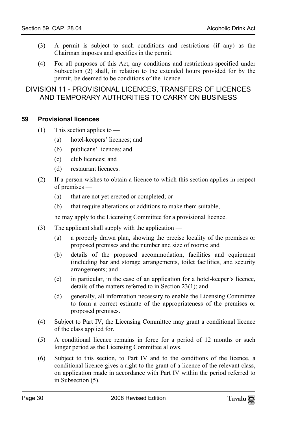- <span id="page-29-0"></span>(3) A permit is subject to such conditions and restrictions (if any) as the Chairman imposes and specifies in the permit.
- <span id="page-29-1"></span>(4) For all purposes of this Act, any conditions and restrictions specified under Subsection (2) shall, in relation to the extended hours provided for by the permit, be deemed to be conditions of the licence.

## DIVISION 11 - PROVISIONAL LICENCES, TRANSFERS OF LICENCES AND TEMPORARY AUTHORITIES TO CARRY ON BUSINESS

#### **59 Provisional licences**

- (1) This section applies to
	- (a) hotel-keepers' licences; and
	- (b) publicans' licences; and
	- (c) club licences; and
	- (d) restaurant licences.
- (2) If a person wishes to obtain a licence to which this section applies in respect of premises —
	- (a) that are not yet erected or completed; or
	- (b) that require alterations or additions to make them suitable,

he may apply to the Licensing Committee for a provisional licence.

- (3) The applicant shall supply with the application
	- (a) a properly drawn plan, showing the precise locality of the premises or proposed premises and the number and size of rooms; and
	- (b) details of the proposed accommodation, facilities and equipment (including bar and storage arrangements, toilet facilities, and security arrangements; and
	- (c) in particular, in the case of an application for a hotel-keeper's licence, details of the matters referred to in Section 23(1); and
	- (d) generally, all information necessary to enable the Licensing Committee to form a correct estimate of the appropriateness of the premises or proposed premises.
- (4) Subject to Part IV, the Licensing Committee may grant a conditional licence of the class applied for.
- (5) A conditional licence remains in force for a period of 12 months or such longer period as the Licensing Committee allows.
- (6) Subject to this section, to Part IV and to the conditions of the licence, a conditional licence gives a right to the grant of a licence of the relevant class, on application made in accordance with Part IV within the period referred to in Subsection (5).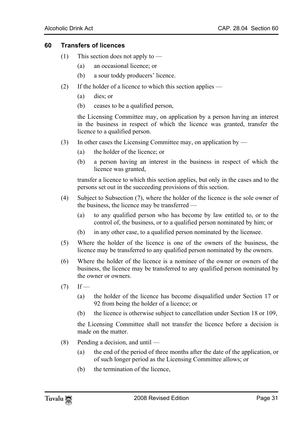#### **60 Transfers of licences**

- <span id="page-30-0"></span>(1) This section does not apply to  $-$ 
	- (a) an occasional licence; or
	- (b) a sour toddy producers' licence.
- (2) If the holder of a licence to which this section applies
	- (a) dies; or
	- (b) ceases to be a qualified person,

the Licensing Committee may, on application by a person having an interest in the business in respect of which the licence was granted, transfer the licence to a qualified person.

- (3) In other cases the Licensing Committee may, on application by
	- (a) the holder of the licence; or
	- (b) a person having an interest in the business in respect of which the licence was granted,

transfer a licence to which this section applies, but only in the cases and to the persons set out in the succeeding provisions of this section.

- (4) Subject to Subsection (7), where the holder of the licence is the sole owner of the business, the licence may be transferred —
	- (a) to any qualified person who has become by law entitled to, or to the control of, the business, or to a qualified person nominated by him; or
	- (b) in any other case, to a qualified person nominated by the licensee.
- (5) Where the holder of the licence is one of the owners of the business, the licence may be transferred to any qualified person nominated by the owners.
- (6) Where the holder of the licence is a nominee of the owner or owners of the business, the licence may be transferred to any qualified person nominated by the owner or owners.
- $(7)$  If
	- (a) the holder of the licence has become disqualified under Section 17 or 92 from being the holder of a licence; or
	- (b) the licence is otherwise subject to cancellation under Section 18 or 109,

the Licensing Committee shall not transfer the licence before a decision is made on the matter.

- (8) Pending a decision, and until
	- (a) the end of the period of three months after the date of the application, or of such longer period as the Licensing Committee allows; or
	- (b) the termination of the licence,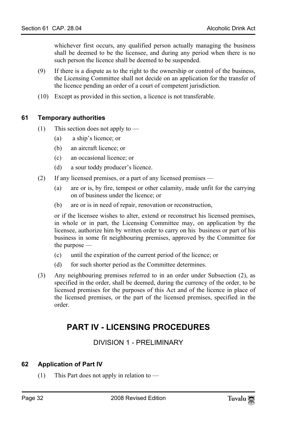whichever first occurs, any qualified person actually managing the business shall be deemed to be the licensee, and during any period when there is no such person the licence shall be deemed to be suspended.

- <span id="page-31-0"></span>(9) If there is a dispute as to the right to the ownership or control of the business, the Licensing Committee shall not decide on an application for the transfer of the licence pending an order of a court of competent jurisdiction.
- (10) Except as provided in this section, a licence is not transferable.

#### **61 Temporary authorities**

- (1) This section does not apply to  $-$ 
	- (a) a ship's licence; or
	- (b) an aircraft licence; or
	- (c) an occasional licence; or
	- (d) a sour toddy producer's licence.
- (2) If any licensed premises, or a part of any licensed premises
	- (a) are or is, by fire, tempest or other calamity, made unfit for the carrying on of business under the licence; or
	- (b) are or is in need of repair, renovation or reconstruction,

or if the licensee wishes to alter, extend or reconstruct his licensed premises, in whole or in part, the Licensing Committee may, on application by the licensee, authorize him by written order to carry on his business or part of his business in some fit neighbouring premises, approved by the Committee for the purpose —

- (c) until the expiration of the current period of the licence; or
- (d) for such shorter period as the Committee determines.
- (3) Any neighbouring premises referred to in an order under Subsection (2), as specified in the order, shall be deemed, during the currency of the order, to be licensed premises for the purposes of this Act and of the licence in place of the licensed premises, or the part of the licensed premises, specified in the order.

## <span id="page-31-3"></span><span id="page-31-1"></span>**PART IV - LICENSING PROCEDURES**

<span id="page-31-2"></span>DIVISION 1 - PRELIMINARY

## **62 Application of Part IV**

(1) This Part does not apply in relation to —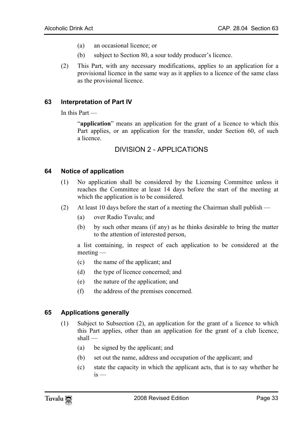- (a) an occasional licence; or
- <span id="page-32-0"></span>(b) subject to Section 80, a sour toddy producer's licence.
- (2) This Part, with any necessary modifications, applies to an application for a provisional licence in the same way as it applies to a licence of the same class as the provisional licence.

#### **63 Interpretation of Part IV**

In this Part —

<span id="page-32-2"></span>"**application**" means an application for the grant of a licence to which this Part applies, or an application for the transfer, under Section 60, of such a licence.

## <span id="page-32-1"></span>DIVISION 2 - APPLICATIONS

#### **64 Notice of application**

- (1) No application shall be considered by the Licensing Committee unless it reaches the Committee at least 14 days before the start of the meeting at which the application is to be considered.
- (2) At least 10 days before the start of a meeting the Chairman shall publish
	- (a) over Radio Tuvalu; and
	- (b) by such other means (if any) as he thinks desirable to bring the matter to the attention of interested person,

a list containing, in respect of each application to be considered at the meeting —

- (c) the name of the applicant; and
- <span id="page-32-3"></span>(d) the type of licence concerned; and
- (e) the nature of the application; and
- (f) the address of the premises concerned.

#### **65 Applications generally**

- (1) Subject to Subsection (2), an application for the grant of a licence to which this Part applies, other than an application for the grant of a club licence, shall —
	- (a) be signed by the applicant; and
	- (b) set out the name, address and occupation of the applicant; and
	- (c) state the capacity in which the applicant acts, that is to say whether he  $is -$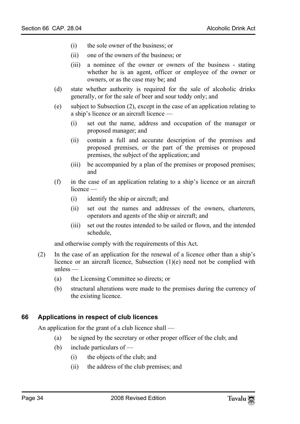- (i) the sole owner of the business; or
- (ii) one of the owners of the business; or
- (iii) a nominee of the owner or owners of the business stating whether he is an agent, officer or employee of the owner or owners, or as the case may be; and
- (d) state whether authority is required for the sale of alcoholic drinks generally, or for the sale of beer and sour toddy only; and
- (e) subject to Subsection (2), except in the case of an application relating to a ship's licence or an aircraft licence —
	- (i) set out the name, address and occupation of the manager or proposed manager; and
	- (ii) contain a full and accurate description of the premises and proposed premises, or the part of the premises or proposed premises, the subject of the application; and
	- (iii) be accompanied by a plan of the premises or proposed premises; and
- (f) in the case of an application relating to a ship's licence or an aircraft licence —
	- (i) identify the ship or aircraft; and
	- (ii) set out the names and addresses of the owners, charterers, operators and agents of the ship or aircraft; and
	- (iii) set out the routes intended to be sailed or flown, and the intended schedule,

and otherwise comply with the requirements of this Act.

- <span id="page-33-0"></span>(2) In the case of an application for the renewal of a licence other than a ship's licence or an aircraft licence, Subsection (1)(e) need not be complied with unless —
	- (a) the Licensing Committee so directs; or
	- (b) structural alterations were made to the premises during the currency of the existing licence.

#### **66 Applications in respect of club licences**

An application for the grant of a club licence shall —

- (a) be signed by the secretary or other proper officer of the club; and
- (b) include particulars of
	- (i) the objects of the club; and
	- (ii) the address of the club premises; and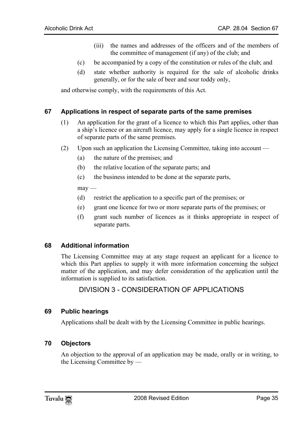- (iii) the names and addresses of the officers and of the members of the committee of management (if any) of the club; and
- (c) be accompanied by a copy of the constitution or rules of the club; and
- <span id="page-34-0"></span>(d) state whether authority is required for the sale of alcoholic drinks generally, or for the sale of beer and sour toddy only,

and otherwise comply, with the requirements of this Act.

#### **67 Applications in respect of separate parts of the same premises**

- (1) An application for the grant of a licence to which this Part applies, other than a ship's licence or an aircraft licence, may apply for a single licence in respect of separate parts of the same premises.
- (2) Upon such an application the Licensing Committee, taking into account
	- (a) the nature of the premises; and
	- (b) the relative location of the separate parts; and
	- (c) the business intended to be done at the separate parts,

 $may -$ 

- (d) restrict the application to a specific part of the premises; or
- <span id="page-34-1"></span>(e) grant one licence for two or more separate parts of the premises; or
- <span id="page-34-2"></span>(f) grant such number of licences as it thinks appropriate in respect of separate parts.

#### **68 Additional information**

The Licensing Committee may at any stage request an applicant for a licence to which this Part applies to supply it with more information concerning the subject matter of the application, and may defer consideration of the application until the information is supplied to its satisfaction.

## <span id="page-34-4"></span><span id="page-34-3"></span>DIVISION 3 - CONSIDERATION OF APPLICATIONS

#### **69 Public hearings**

Applications shall be dealt with by the Licensing Committee in public hearings.

#### **70 Objectors**

An objection to the approval of an application may be made, orally or in writing, to the Licensing Committee by —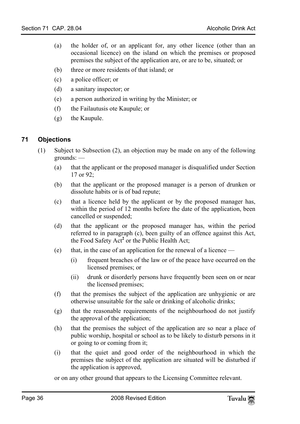- (a) the holder of, or an applicant for, any other licence (other than an occasional licence) on the island on which the premises or proposed premises the subject of the application are, or are to be, situated; or
- (b) three or more residents of that island; or
- (c) a police officer; or
- (d) a sanitary inspector; or
- <span id="page-35-0"></span>(e) a person authorized in writing by the Minister; or
- (f) the Failautusis ote Kaupule; or
- (g) the Kaupule.

#### **71 Objections**

- (1) Subject to Subsection (2), an objection may be made on any of the following grounds: —
	- (a) that the applicant or the proposed manager is disqualified under Section 17 or 92;
	- (b) that the applicant or the proposed manager is a person of drunken or dissolute habits or is of bad repute;
	- (c) that a licence held by the applic[an](#page-56-0)t or by the proposed manager has, within the period of 12 months before the date of the application, been cancelled or suspended;
	- (d) that the applicant or the proposed manager has, within the period referred to in paragraph (c), been guilty of an offence against this Act, the Food Safety Act<sup>2</sup> or the Public Health Act;
	- (e) that, in the case of an application for the renewal of a licence
		- (i) frequent breaches of the law or of the peace have occurred on the licensed premises; or
		- (ii) drunk or disorderly persons have frequently been seen on or near the licensed premises;
	- (f) that the premises the subject of the application are unhygienic or are otherwise unsuitable for the sale or drinking of alcoholic drinks;
	- (g) that the reasonable requirements of the neighbourhood do not justify the approval of the application;
	- (h) that the premises the subject of the application are so near a place of public worship, hospital or school as to be likely to disturb persons in it or going to or coming from it;
	- (i) that the quiet and good order of the neighbourhood in which the premises the subject of the application are situated will be disturbed if the application is approved,
	- or on any other ground that appears to the Licensing Committee relevant.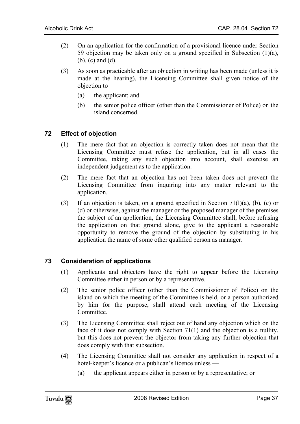- (2) On an application for the confirmation of a provisional licence under Section 59 objection may be taken only on a ground specified in Subsection (1)(a), (b), (c) and (d).
- <span id="page-36-0"></span>(3) As soon as practicable after an objection in writing has been made (unless it is made at the hearing), the Licensing Committee shall given notice of the objection to —
	- (a) the applicant; and
	- (b) the senior police officer (other than the Commissioner of Police) on the island concerned.

#### **72 Effect of objection**

- (1) The mere fact that an objection is correctly taken does not mean that the Licensing Committee must refuse the application, but in all cases the Committee, taking any such objection into account, shall exercise an independent judgement as to the application.
- (2) The mere fact that an objection has not been taken does not prevent the Licensing Committee from inquiring into any matter relevant to the application.
- <span id="page-36-1"></span>(3) If an objection is taken, on a ground specified in Section 71(1)(a), (b), (c) or (d) or otherwise, against the manager or the proposed manager of the premises the subject of an application, the Licensing Committee shall, before refusing the application on that ground alone, give to the applicant a reasonable opportunity to remove the ground of the objection by substituting in his application the name of some other qualified person as manager.

#### **73 Consideration of applications**

- (1) Applicants and objectors have the right to appear before the Licensing Committee either in person or by a representative.
- (2) The senior police officer (other than the Commissioner of Police) on the island on which the meeting of the Committee is held, or a person authorized by him for the purpose, shall attend each meeting of the Licensing Committee.
- (3) The Licensing Committee shall reject out of hand any objection which on the face of it does not comply with Section 71(1) and the objection is a nullity, but this does not prevent the objector from taking any further objection that does comply with that subsection.
- (4) The Licensing Committee shall not consider any application in respect of a hotel-keeper's licence or a publican's licence unless —
	- (a) the applicant appears either in person or by a representative; or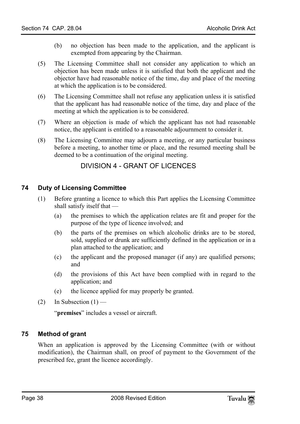- (b) no objection has been made to the application, and the applicant is exempted from appearing by the Chairman.
- (5) The Licensing Committee shall not consider any application to which an objection has been made unless it is satisfied that both the applicant and the objector have had reasonable notice of the time, day and place of the meeting at which the application is to be considered.
- (6) The Licensing Committee shall not refuse any application unless it is satisfied that the applicant has had reasonable notice of the time, day and place of the meeting at which the application is to be considered.
- (7) Where an objection is made of which the applicant has not had reasonable notice, the applicant is entitled to a reasonable adjournment to consider it.
- <span id="page-37-1"></span>(8) The Licensing Committee may adjourn a meeting, or any particular business before a meeting, to another time or place, and the resumed meeting shall be deemed to be a continuation of the original meeting.

## <span id="page-37-0"></span>DIVISION 4 - GRANT OF LICENCES

#### **74 Duty of Licensing Committee**

- (1) Before granting a licence to which this Part applies the Licensing Committee shall satisfy itself that —
	- (a) the premises to which the application relates are fit and proper for the purpose of the type of licence involved; and
	- (b) the parts of the premises on which alcoholic drinks are to be stored, sold, supplied or drunk are sufficiently defined in the application or in a plan attached to the application; and
	- (c) the applicant and the proposed manager (if any) are qualified persons; and
	- (d) the provisions of this Act have been complied with in regard to the application; and
	- (e) the licence applied for may properly be granted.
- (2) In Subsection  $(1)$  —

<span id="page-37-2"></span>"**premises**" includes a vessel or aircraft.

#### **75 Method of grant**

When an application is approved by the Licensing Committee (with or without modification), the Chairman shall, on proof of payment to the Government of the prescribed fee, grant the licence accordingly.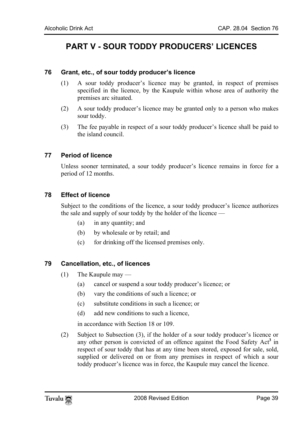## <span id="page-38-1"></span><span id="page-38-0"></span>**PART V - SOUR TODDY PRODUCERS' LICENCES**

#### **76 Grant, etc., of sour toddy producer's licence**

- (1) A sour toddy producer's licence may be granted, in respect of premises specified in the licence, by the Kaupule within whose area of authority the premises arc situated.
- <span id="page-38-2"></span>(2) A sour toddy producer's licence may be granted only to a person who makes sour toddy.
- (3) The fee payable in respect of a sour toddy producer's licence shall be paid to the island council.

#### **77 Period of licence**

<span id="page-38-3"></span>Unless sooner terminated, a sour toddy producer's licence remains in force for a period of 12 months.

#### **78 Effect of licence**

Subject to the conditions of the licence, a sour toddy producer's licence authorizes the sale and supply of sour toddy by the holder of the licence —

- <span id="page-38-4"></span>(a) in any quantity; and
- (b) by wholesale or by retail; and
- (c) for drinking off the licensed premises only.

## **79 Cancellation, etc., of licences**

- (1) The Kaupule may
	- (a) cancel or suspend a sour toddy producer's licence; or
	- (b) vary the conditions of such a licence; or
	- (c) substitute conditions in such a licence; or
	- (d) add new conditions to such a licence,

in accordance with Section 18 or 109.

(2) Subject to Subsection (3), if the holder of a sour toddy producer's licence or any other person is convicted of an offence against the Food Safety Act<sup>3</sup> in respect of sour toddy that has at any time been stored, exposed for sale, sold, supplied or delivered on or from any premises in respect of which a sour toddy producer's licence was in force, the Kaupule may cancel the licence.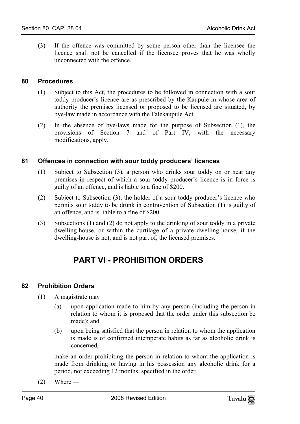<span id="page-39-0"></span>(3) If the offence was committed by some person other than the licensee the licence shall not be cancelled if the licensee proves that he was wholly unconnected with the offence.

#### **80 Procedures**

- (1) Subject to this Act, the procedures to be followed in connection with a sour toddy producer's licence are as prescribed by the Kaupule in whose area of authority the premises licensed or proposed to be licensed are situated, by bye-law made in accordance with the Falekaupule Act.
- <span id="page-39-1"></span>(2) In the absence of bye-laws made for the purpose of Subsection (1), the provisions of Section 7 and of Part IV, with the necessary modifications, apply.

#### **81 Offences in connection with sour toddy producers' licences**

- (1) Subject to Subsection (3), a person who drinks sour toddy on or near any premises in respect of which a sour toddy producer's licence is in force is guilty of an offence, and is liable to a fine of \$200.
- (2) Subject to Subsection (3), the holder of a sour toddy producer's licence who permits sour toddy to be drunk in contravention of Subsection (1) is guilty of an offence, and is liable to a fine of \$200.
- (3) Subsections (1) and (2) do not apply to the drinking of sour toddy in a private dwelling-house, or within the curtilage of a private dwelling-house, if the dwelling-house is not, and is not part of, the licensed premises.

## **PART VI - PROHIBITION ORDERS**

#### **82 Prohibition Orders**

- $(1)$  A magistrate may
	- (a) upon application made to him by any person (including the person in relation to whom it is proposed that the order under this subsection be made); and
	- (b) upon being satisfied that the person in relation to whom the application is made is of confirmed intemperate habits as far as alcoholic drink is concerned,

make an order prohibiting the person in relation to whom the application is made from drinking or having in his possession any alcoholic drink for a period, not exceeding 12 months, specified in the order.

 $(2)$  Where —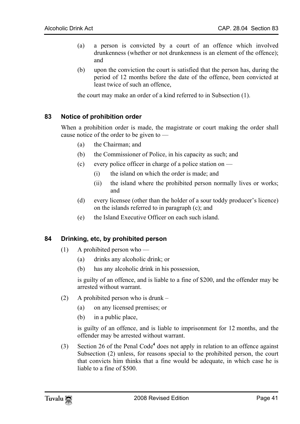- (a) a person is convicted by a court of an offence which involved drunkenness (whether or not drunkenness is an element of the offence); and
- <span id="page-40-0"></span>(b) upon the conviction the court is satisfied that the person has, during the period of 12 months before the date of the offence, been convicted at least twice of such an offence,

the court may make an order of a kind referred to in Subsection (1).

#### **83 Notice of prohibition order**

When a prohibition order is made, the magistrate or court making the order shall cause notice of the order to be given to —

- (a) the Chairman; and
- (b) the Commissioner of Police, in his capacity as such; and
- (c) every police officer in charge of a police station on  $-$ 
	- (i) the island on which the order is made; and
	- (ii) the island where the prohibited person normally lives or works; and
- <span id="page-40-1"></span>(d) every licensee (other than the holder of a sour toddy producer's licence) on the islands referred to in paragraph (c); and
- (e) the Island Executive Officer on each such island.

#### **84 Drinking, etc, by prohibited person**

- (1) A prohibited person who
	- (a) drinks any alcoholic drink; or
	- (b) has any alcoholic drink in his possession,

is guilty of an offence, and is liable to a fine of \$200, and the offender may be arrested without warrant.

- (2) A prohibited person who is drunk
	- (a) on any licensed premises; or
	- (b) in a public place,

is guilty of an offence, and is liable to imprisonment for 12 months, and the offender may be arrested without warrant.

(3) Section 26 of the Penal Code**<sup>4</sup>** does not apply in relation to an offence against Subsection (2) unless, for reasons special to the prohibited person, the court that convicts him thinks that a fine would be adequate, in which case he is liable to a fine of \$500.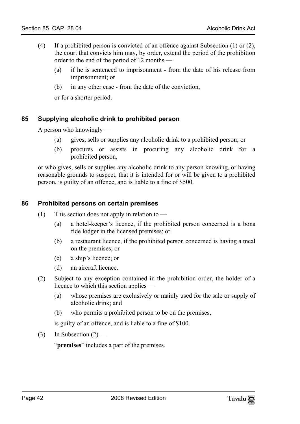- (4) If a prohibited person is convicted of an offence against Subsection (1) or (2), the court that convicts him may, by order, extend the period of the prohibition order to the end of the period of 12 months —
	- (a) if he is sentenced to imprisonment from the date of his release from imprisonment; or
	- (b) in any other case from the date of the conviction,

<span id="page-41-0"></span>or for a shorter period.

#### **85 Supplying alcoholic drink to prohibited person**

A person who knowingly —

- (a) gives, sells or supplies any alcoholic drink to a prohibited person; or
- <span id="page-41-1"></span>(b) procures or assists in procuring any alcoholic drink for a prohibited person,

or who gives, sells or supplies any alcoholic drink to any person knowing, or having reasonable grounds to suspect, that it is intended for or will be given to a prohibited person, is guilty of an offence, and is liable to a fine of \$500.

#### **86 Prohibited persons on certain premises**

- (1) This section does not apply in relation to
	- (a) a hotel-keeper's licence, if the prohibited person concerned is a bona fide lodger in the licensed premises; or
	- (b) a restaurant licence, if the prohibited person concerned is having a meal on the premises; or
	- (c) a ship's licence; or
	- (d) an aircraft licence.
- (2) Subject to any exception contained in the prohibition order, the holder of a licence to which this section applies —
	- (a) whose premises are exclusively or mainly used for the sale or supply of alcoholic drink; and
	- (b) who permits a prohibited person to be on the premises,

is guilty of an offence, and is liable to a fine of \$100.

(3) In Subsection  $(2)$  —

"**premises**" includes a part of the premises.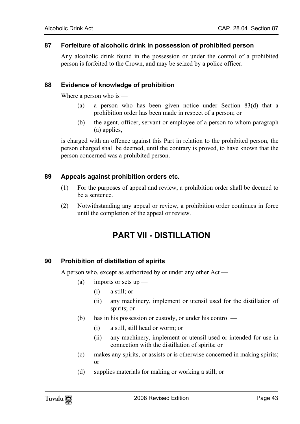#### **87 Forfeiture of alcoholic drink in possession of prohibited person**

<span id="page-42-1"></span><span id="page-42-0"></span>Any alcoholic drink found in the possession or under the control of a prohibited person is forfeited to the Crown, and may be seized by a police officer.

#### **88 Evidence of knowledge of prohibition**

Where a person who is —

- (a) a person who has been given notice under Section 83(d) that a prohibition order has been made in respect of a person; or
- <span id="page-42-2"></span>(b) the agent, officer, servant or employee of a person to whom paragraph (a) applies,

is charged with an offence against this Part in relation to the prohibited person, the person charged shall be deemed, until the contrary is proved, to have known that the person concerned was a prohibited person.

#### **89 Appeals against prohibition orders etc.**

- (1) For the purposes of appeal and review, a prohibition order shall be deemed to be a sentence.
- <span id="page-42-4"></span>(2) Notwithstanding any appeal or review, a prohibition order continues in force until the completion of the appeal or review.

## <span id="page-42-3"></span>**PART VII - DISTILLATION**

#### **90 Prohibition of distillation of spirits**

A person who, except as authorized by or under any other Act —

- (a) imports or sets  $up$ 
	- (i) a still; or
	- (ii) any machinery, implement or utensil used for the distillation of spirits; or
- (b) has in his possession or custody, or under his control
	- (i) a still, still head or worm; or
	- (ii) any machinery, implement or utensil used or intended for use in connection with the distillation of spirits; or
- (c) makes any spirits, or assists or is otherwise concerned in making spirits; or
- (d) supplies materials for making or working a still; or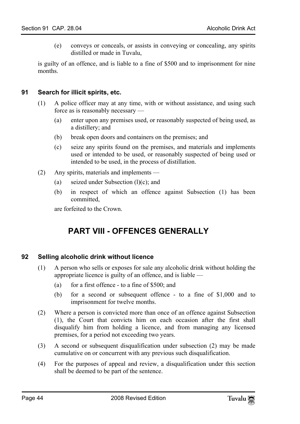<span id="page-43-0"></span>(e) conveys or conceals, or assists in conveying or concealing, any spirits distilled or made in Tuvalu,

is guilty of an offence, and is liable to a fine of \$500 and to imprisonment for nine months.

#### **91 Search for illicit spirits, etc.**

- (1) A police officer may at any time, with or without assistance, and using such force as is reasonably necessary —
	- (a) enter upon any premises used, or reasonably suspected of being used, as a distillery; and
	- (b) break open doors and containers on the premises; and
	- (c) seize any spirits found on the premises, and materials and implements used or intended to be used, or reasonably suspected of being used or intended to be used, in the process of distillation.
- (2) Any spirits, materials and implements
	- (a) seized under Subsection  $(l)(c)$ ; and
	- (b) in respect of which an offence against Subsection (1) has been committed,

<span id="page-43-2"></span>are forfeited to the Crown.

## <span id="page-43-1"></span>**PART VIII - OFFENCES GENERALLY**

#### **92 Selling alcoholic drink without licence**

- (1) A person who sells or exposes for sale any alcoholic drink without holding the appropriate licence is guilty of an offence, and is liable —
	- (a) for a first offence to a fine of  $$500$ ; and
	- (b) for a second or subsequent offence to a fine of \$1,000 and to imprisonment for twelve months.
- (2) Where a person is convicted more than once of an offence against Subsection (1), the Court that convicts him on each occasion after the first shall disqualify him from holding a licence, and from managing any licensed premises, for a period not exceeding two years.
- (3) A second or subsequent disqualification under subsection (2) may be made cumulative on or concurrent with any previous such disqualification.
- (4) For the purposes of appeal and review, a disqualification under this section shall be deemed to be part of the sentence.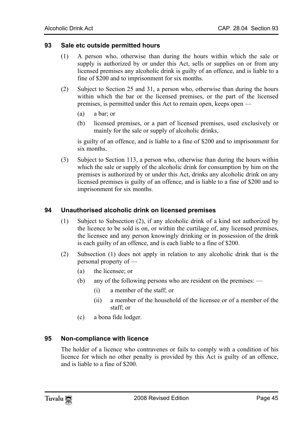#### **93 Sale etc outside permitted hours**

- <span id="page-44-0"></span>(1) A person who, otherwise than during the hours within which the sale or supply is authorized by or under this Act, sells or supplies on or from any licensed premises any alcoholic drink is guilty of an offence, and is liable to a fine of \$200 and to imprisonment for six months.
- (2) Subject to Section 25 and 31, a person who, otherwise than during the hours within which the bar or the licensed premises, or the part of the licensed premises, is permitted under this Act to remain open, keeps open —
	- (a) a bar; or
	- (b) licensed premises, or a part of licensed premises, used exclusively or mainly for the sale or supply of alcoholic drinks,

is guilty of an offence, and is liable to a fine of \$200 and to imprisonment for six months.

<span id="page-44-1"></span>(3) Subject to Section 113, a person who, otherwise than during the hours within which the sale or supply of the alcoholic drink for consumption by him on the premises is authorized by or under this Act, drinks any alcoholic drink on any licensed premises is guilty of an offence, and is liable to a fine of \$200 and to imprisonment for six months.

#### **94 Unauthorised alcoholic drink on licensed premises**

- (1) Subject to Subsection (2), if any alcoholic drink of a kind not authorized by the licence to be sold is on, or within the curtilage of, any licensed premises, the licensee and any person knowingly drinking or in possession of the drink is each guilty of an offence, and is each liable to a fine of \$200.
- <span id="page-44-2"></span>(2) Subsection (1) does not apply in relation to any alcoholic drink that is the personal property of —
	- (a) the licensee; or
	- (b) any of the following persons who are resident on the premises:
		- (i) a member of the staff; or
		- (ii) a member of the household of the licensee or of a member of the staff; or
	- (c) a bona fide lodger.

#### **95 Non-compliance with licence**

The holder of a licence who contravenes or fails to comply with a condition of his licence for which no other penalty is provided by this Act is guilty of an offence, and is liable to a fine of \$200.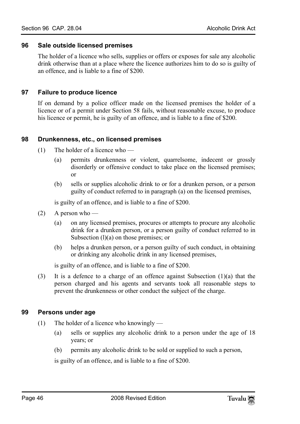#### **96 Sale outside licensed premises**

<span id="page-45-1"></span><span id="page-45-0"></span>The holder of a licence who sells, supplies or offers or exposes for sale any alcoholic drink otherwise than at a place where the licence authorizes him to do so is guilty of an offence, and is liable to a fine of \$200.

#### **97 Failure to produce licence**

<span id="page-45-2"></span>If on demand by a police officer made on the licensed premises the holder of a licence or of a permit under Section 58 fails, without reasonable excuse, to produce his licence or permit, he is guilty of an offence, and is liable to a fine of \$200.

#### **98 Drunkenness, etc., on licensed premises**

- (1) The holder of a licence who
	- (a) permits drunkenness or violent, quarrelsome, indecent or grossly disorderly or offensive conduct to take place on the licensed premises; or
	- (b) sells or supplies alcoholic drink to or for a drunken person, or a person guilty of conduct referred to in paragraph (a) on the licensed premises,

is guilty of an offence, and is liable to a fine of \$200.

- $(2)$  A person who
	- (a) on any licensed premises, procures or attempts to procure any alcoholic drink for a drunken person, or a person guilty of conduct referred to in Subsection (l)(a) on those premises; or
	- (b) helps a drunken person, or a person guilty of such conduct, in obtaining or drinking any alcoholic drink in any licensed premises,

<span id="page-45-3"></span>is guilty of an offence, and is liable to a fine of \$200.

(3) It is a defence to a charge of an offence against Subsection  $(1)(a)$  that the person charged and his agents and servants took all reasonable steps to prevent the drunkenness or other conduct the subject of the charge.

#### **99 Persons under age**

- (1) The holder of a licence who knowingly
	- (a) sells or supplies any alcoholic drink to a person under the age of 18 years; or
	- (b) permits any alcoholic drink to be sold or supplied to such a person,

is guilty of an offence, and is liable to a fine of \$200.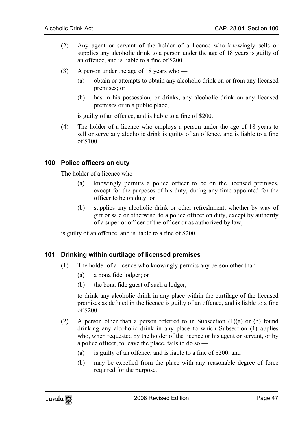- (2) Any agent or servant of the holder of a licence who knowingly sells or supplies any alcoholic drink to a person under the age of 18 years is guilty of an offence, and is liable to a fine of \$200.
- (3) A person under the age of 18 years who
	- (a) obtain or attempts to obtain any alcoholic drink on or from any licensed premises; or
	- (b) has in his possession, or drinks, any alcoholic drink on any licensed premises or in a public place,

<span id="page-46-0"></span>is guilty of an offence, and is liable to a fine of \$200.

(4) The holder of a licence who employs a person under the age of 18 years to sell or serve any alcoholic drink is guilty of an offence, and is liable to a fine of \$100.

#### **100 Police officers on duty**

The holder of a licence who —

- (a) knowingly permits a police officer to be on the licensed premises, except for the purposes of his duty, during any time appointed for the officer to be on duty; or
- <span id="page-46-1"></span>(b) supplies any alcoholic drink or other refreshment, whether by way of gift or sale or otherwise, to a police officer on duty, except by authority of a superior officer of the officer or as authorized by law,

is guilty of an offence, and is liable to a fine of \$200.

#### **101 Drinking within curtilage of licensed premises**

- (1) The holder of a licence who knowingly permits any person other than
	- (a) a bona fide lodger; or
	- (b) the bona fide guest of such a lodger,

to drink any alcoholic drink in any place within the curtilage of the licensed premises as defined in the licence is guilty of an offence, and is liable to a fine of \$200.

- (2) A person other than a person referred to in Subsection (1)(a) or (b) found drinking any alcoholic drink in any place to which Subsection (1) applies who, when requested by the holder of the licence or his agent or servant, or by a police officer, to leave the place, fails to do so —
	- (a) is guilty of an offence, and is liable to a fine of \$200; and
	- (b) may be expelled from the place with any reasonable degree of force required for the purpose.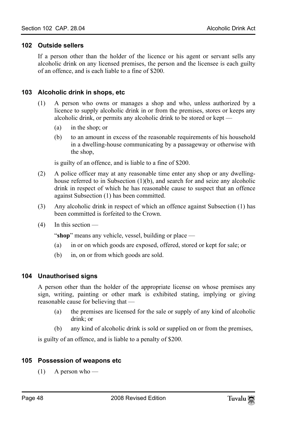#### <span id="page-47-0"></span>**102 Outside sellers**

<span id="page-47-1"></span>If a person other than the holder of the licence or his agent or servant sells any alcoholic drink on any licensed premises, the person and the licensee is each guilty of an offence, and is each liable to a fine of \$200.

#### **103 Alcoholic drink in shops, etc**

- (1) A person who owns or manages a shop and who, unless authorized by a licence to supply alcoholic drink in or from the premises, stores or keeps any alcoholic drink, or permits any alcoholic drink to be stored or kept —
	- (a) in the shop; or
	- (b) to an amount in excess of the reasonable requirements of his household in a dwelling-house communicating by a passageway or otherwise with the shop,

is guilty of an offence, and is liable to a fine of \$200.

- (2) A police officer may at any reasonable time enter any shop or any dwellinghouse referred to in Subsection (1)(b), and search for and seize any alcoholic drink in respect of which he has reasonable cause to suspect that an offence against Subsection (1) has been committed.
- (3) Any alcoholic drink in respect of which an offence against Subsection (1) has been committed is forfeited to the Crown.
- $(4)$  In this section —

<span id="page-47-2"></span>"**shop**" means any vehicle, vessel, building or place —

- (a) in or on which goods are exposed, offered, stored or kept for sale; or
- (b) in, on or from which goods are sold.

#### **104 Unauthorised signs**

A person other than the holder of the appropriate license on whose premises any sign, writing, painting or other mark is exhibited stating, implying or giving reasonable cause for believing that —

- (a) the premises are licensed for the sale or supply of any kind of alcoholic drink; or
- <span id="page-47-3"></span>(b) any kind of alcoholic drink is sold or supplied on or from the premises,

is guilty of an offence, and is liable to a penalty of \$200.

#### **105 Possession of weapons etc**

 $(1)$  A person who —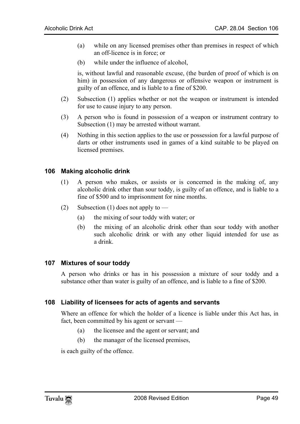- (a) while on any licensed premises other than premises in respect of which an off-licence is in force; or
- (b) while under the influence of alcohol,

is, without lawful and reasonable excuse, (the burden of proof of which is on him) in possession of any dangerous or offensive weapon or instrument is guilty of an offence, and is liable to a fine of \$200.

- (2) Subsection (1) applies whether or not the weapon or instrument is intended for use to cause injury to any person.
- (3) A person who is found in possession of a weapon or instrument contrary to Subsection (1) may be arrested without warrant.
- <span id="page-48-0"></span>(4) Nothing in this section applies to the use or possession for a lawful purpose of darts or other instruments used in games of a kind suitable to be played on licensed premises.

#### **106 Making alcoholic drink**

- (1) A person who makes, or assists or is concerned in the making of, any alcoholic drink other than sour toddy, is guilty of an offence, and is liable to a fine of \$500 and to imprisonment for nine months.
- <span id="page-48-1"></span>(2) Subsection (1) does not apply to —
	- (a) the mixing of sour toddy with water; or
	- (b) the mixing of an alcoholic drink other than sour toddy with another such alcoholic drink or with any other liquid intended for use as a drink.

#### **107 Mixtures of sour toddy**

<span id="page-48-2"></span>A person who drinks or has in his possession a mixture of sour toddy and a substance other than water is guilty of an offence, and is liable to a fine of \$200.

## **108 Liability of licensees for acts of agents and servants**

Where an offence for which the holder of a licence is liable under this Act has, in fact, been committed by his agent or servant —

- (a) the licensee and the agent or servant; and
- (b) the manager of the licensed premises,

is each guilty of the offence.

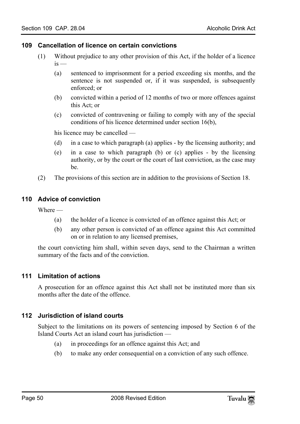#### <span id="page-49-0"></span>**109 Cancellation of licence on certain convictions**

- (1) Without prejudice to any other provision of this Act, if the holder of a licence  $is -$ 
	- (a) sentenced to imprisonment for a period exceeding six months, and the sentence is not suspended or, if it was suspended, is subsequently enforced; or
	- (b) convicted within a period of 12 months of two or more offences against this Act; or
	- (c) convicted of contravening or failing to comply with any of the special conditions of his licence determined under section 16(b),

his licence may be cancelled —

- (d) in a case to which paragraph (a) applies by the licensing authority; and
- <span id="page-49-1"></span>(e) in a case to which paragraph (b) or (c) applies - by the licensing authority, or by the court or the court of last conviction, as the case may be.
- (2) The provisions of this section are in addition to the provisions of Section 18.

#### **110 Advice of conviction**

Where —

- (a) the holder of a licence is convicted of an offence against this Act; or
- <span id="page-49-2"></span>(b) any other person is convicted of an offence against this Act committed on or in relation to any licensed premises,

the court convicting him shall, within seven days, send to the Chairman a written summary of the facts and of the conviction.

#### **111 Limitation of actions**

<span id="page-49-3"></span>A prosecution for an offence against this Act shall not be instituted more than six months after the date of the offence.

#### **112 Jurisdiction of island courts**

Subject to the limitations on its powers of sentencing imposed by Section 6 of the Island Courts Act an island court has jurisdiction —

- (a) in proceedings for an offence against this Act; and
- (b) to make any order consequential on a conviction of any such offence.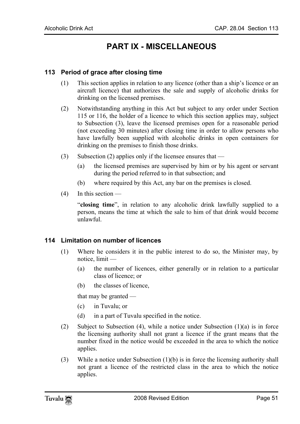## <span id="page-50-1"></span><span id="page-50-0"></span>**PART IX - MISCELLANEOUS**

#### **113 Period of grace after closing time**

- (1) This section applies in relation to any licence (other than a ship's licence or an aircraft licence) that authorizes the sale and supply of alcoholic drinks for drinking on the licensed premises.
- (2) Notwithstanding anything in this Act but subject to any order under Section 115 or 116, the holder of a licence to which this section applies may, subject to Subsection (3), leave the licensed premises open for a reasonable period (not exceeding 30 minutes) after closing time in order to allow persons who have lawfully been supplied with alcoholic drinks in open containers for drinking on the premises to finish those drinks.
- (3) Subsection (2) applies only if the licensee ensures that
	- (a) the licensed premises are supervised by him or by his agent or servant during the period referred to in that subsection; and
	- (b) where required by this Act, any bar on the premises is closed.
- $(4)$  In this section —

<span id="page-50-2"></span>"**closing time**", in relation to any alcoholic drink lawfully supplied to a person, means the time at which the sale to him of that drink would become unlawful.

#### **114 Limitation on number of licences**

- (1) Where he considers it in the public interest to do so, the Minister may, by notice, limit —
	- (a) the number of licences, either generally or in relation to a particular class of licence; or
	- (b) the classes of licence,

that may be granted —

- (c) in Tuvalu; or
- (d) in a part of Tuvalu specified in the notice.
- (2) Subject to Subsection (4), while a notice under Subsection (1)(a) is in force the licensing authority shall not grant a licence if the grant means that the number fixed in the notice would be exceeded in the area to which the notice applies.
- (3) While a notice under Subsection (1)(b) is in force the licensing authority shall not grant a licence of the restricted class in the area to which the notice applies.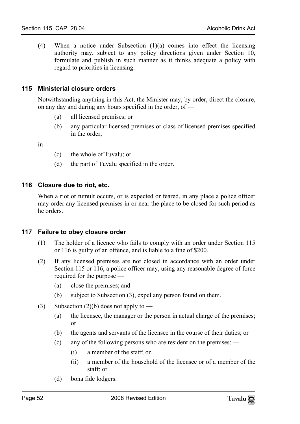<span id="page-51-0"></span>(4) When a notice under Subsection  $(1)(a)$  comes into effect the licensing authority may, subject to any policy directions given under Section 10, formulate and publish in such manner as it thinks adequate a policy with regard to priorities in licensing.

#### **115 Ministerial closure orders**

Notwithstanding anything in this Act, the Minister may, by order, direct the closure, on any day and during any hours specified in the order, of —

- (a) all licensed premises; or
- (b) any particular licensed premises or class of licensed premises specified in the order,

 $in -$ 

- <span id="page-51-1"></span>(c) the whole of Tuvalu; or
- (d) the part of Tuvalu specified in the order.

#### **116 Closure due to riot, etc.**

<span id="page-51-2"></span>When a riot or tumult occurs, or is expected or feared, in any place a police officer may order any licensed premises in or near the place to be closed for such period as he orders.

#### **117 Failure to obey closure order**

- (1) The holder of a licence who fails to comply with an order under Section 115 or 116 is guilty of an offence, and is liable to a fine of \$200.
- (2) If any licensed premises are not closed in accordance with an order under Section 115 or 116, a police officer may, using any reasonable degree of force required for the purpose —
	- (a) close the premises; and
	- (b) subject to Subsection (3), expel any person found on them.
- (3) Subsection (2)(b) does not apply to
	- (a) the licensee, the manager or the person in actual charge of the premises; or
	- (b) the agents and servants of the licensee in the course of their duties; or
	- (c) any of the following persons who are resident on the premises:
		- (i) a member of the staff; or
		- (ii) a member of the household of the licensee or of a member of the staff; or
	- (d) bona fide lodgers.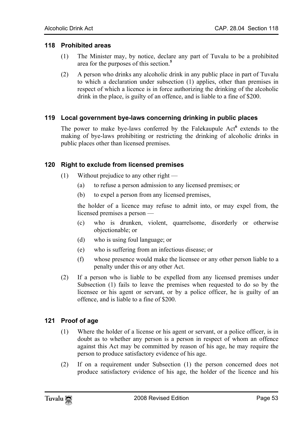#### **118 Prohibited areas**

- <span id="page-52-0"></span>(1) The Minister may, by notice, declare any part of Tuvalu to be a prohibited area for the purposes of this section.**<sup>5</sup>**
- <span id="page-52-1"></span>(2) A person who drinks any alcoholic drink in any public place in part of Tuvalu to which a declaration under subsection (1) applies, other than premises in respect of which a licence is in force authorizing the drinking of the alcoho[lic](#page-56-2) drink in the place, is guilty of an offence, and is liable to a fine of \$200.

#### **119 Local government bye-laws concerning drinking in public places**

The power to make bye-laws conferred by the Falekaupule Act<sup>6</sup> extends to the making of bye-laws prohibiting or restricting the drinking of alcoholic drinks in public places other than licensed premises.

#### **120 Right to exclude from licensed premises**

- (1) Without prejudice to any other right
	- (a) to refuse a person admission to any licensed premises; or
	- (b) to expel a person from any licensed premises,

the holder of a licence may refuse to admit into, or may expel from, the licensed premises a person —

- (c) who is drunken, violent, quarrelsome, disorderly or otherwise objectionable; or
- (d) who is using foul language; or
- (e) who is suffering from an infectious disease; or
- (f) whose presence would make the licensee or any other person liable to a penalty under this or any other Act.
- (2) If a person who is liable to be expelled from any licensed premises under Subsection (1) fails to leave the premises when requested to do so by the licensee or his agent or servant, or by a police officer, he is guilty of an offence, and is liable to a fine of \$200.

## **121 Proof of age**

- (1) Where the holder of a license or his agent or servant, or a police officer, is in doubt as to whether any person is a person in respect of whom an offence against this Act may be committed by reason of his age, he may require the person to produce satisfactory evidence of his age.
- (2) If on a requirement under Subsection (1) the person concerned does not produce satisfactory evidence of his age, the holder of the licence and his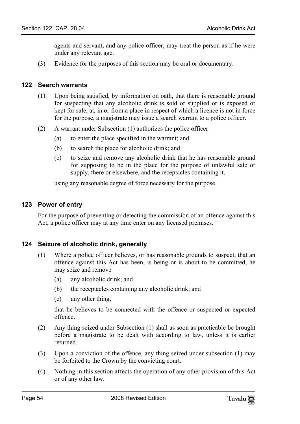<span id="page-53-0"></span>agents and servant, and any police officer, may treat the person as if he were under any relevant age.

(3) Evidence for the purposes of this section may be oral or documentary.

#### **122 Search warrants**

- (1) Upon being satisfied, by information on oath, that there is reasonable ground for suspecting that any alcoholic drink is sold or supplied or is exposed or kept for sale, at, in or from a place in respect of which a licence is not in force for the purpose, a magistrate may issue a search warrant to a police officer.
- (2) A warrant under Subsection (1) authorizes the police officer
	- (a) to enter the place specified in the warrant; and
	- (b) to search the place for alcoholic drink; and
	- (c) to seize and remove any alcoholic drink that he has reasonable ground for supposing to be in the place for the purpose of unlawful sale or supply, there or elsewhere, and the receptacles containing it,

<span id="page-53-1"></span>using any reasonable degree of force necessary for the purpose.

#### **123 Power of entry**

For the purpose of preventing or detecting the commission of an offence against this Act, a police officer may at any time enter on any licensed premises.

#### **124 Seizure of alcoholic drink, generally**

- (1) Where a police officer believes, or has reasonable grounds to suspect, that an offence against this Act has been, is being or is about to be committed, he may seize and remove —
	- (a) any alcoholic drink; and
	- (b) the receptacles containing any alcoholic drink; and
	- (c) any other thing,

that he believes to be connected with the offence or suspected or expected offence.

- (2) Any thing seized under Subsection (1) shall as soon as practicable be brought before a magistrate to be dealt with according to law, unless it is earlier returned.
- (3) Upon a conviction of the offence, any thing seized under subsection (1) may be forfeited to the Crown by the convicting court.
- (4) Nothing in this section affects the operation of any other provision of this Act or of any other law.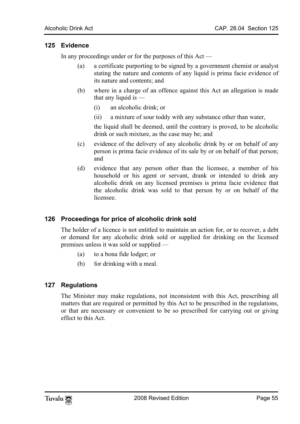#### <span id="page-54-0"></span>**125 Evidence**

In any proceedings under or for the purposes of this Act —

- (a) a certificate purporting to be signed by a government chemist or analyst stating the nature and contents of any liquid is prima facie evidence of its nature and contents; and
- (b) where in a charge of an offence against this Act an allegation is made that any liquid is —
	- (i) an alcoholic drink; or
	- (ii) a mixture of sour toddy with any substance other than water,

the liquid shall be deemed, until the contrary is proved, to be alcoholic drink or such mixture, as the case may be; and

- (c) evidence of the delivery of any alcoholic drink by or on behalf of any person is prima facie evidence of its sale by or on behalf of that person; and
- <span id="page-54-1"></span>(d) evidence that any person other than the licensee, a member of his household or his agent or servant, drank or intended to drink any alcoholic drink on any licensed premises is prima facie evidence that the alcoholic drink was sold to that person by or on behalf of the licensee.

## **126 Proceedings for price of alcoholic drink sold**

The holder of a licence is not entitled to maintain an action for, or to recover, a debt or demand for any alcoholic drink sold or supplied for drinking on the licensed premises unless it was sold or supplied —

- <span id="page-54-2"></span>(a) to a bona fide lodger; or
- (b) for drinking with a meal.

#### **127 Regulations**

The Minister may make regulations, not inconsistent with this Act, prescribing all matters that are required or permitted by this Act to be prescribed in the regulations, or that are necessary or convenient to be so prescribed for carrying out or giving effect to this Act.

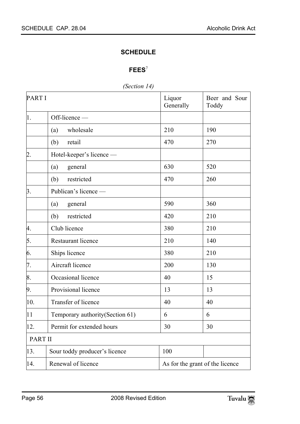## <span id="page-55-1"></span><span id="page-55-0"></span>**SCHEDULE**

## **FEES**<sup>7</sup>

*(Section 14)* 

| <b>PARTI</b>     |                                  | Liquor<br>Generally | Beer and Sour<br>Toddy          |
|------------------|----------------------------------|---------------------|---------------------------------|
| $\mathbf{1}$ .   | Off-licence -                    |                     |                                 |
|                  | wholesale<br>(a)                 | 210                 | 190                             |
|                  | (b)<br>retail                    | 470                 | 270                             |
| $\overline{2}$ . | Hotel-keeper's licence -         |                     |                                 |
|                  | (a)<br>general                   | 630                 | 520                             |
|                  | (b)<br>restricted                | 470                 | 260                             |
| $\overline{3}$ . | Publican's licence -             |                     |                                 |
|                  | (a)<br>general                   | 590                 | 360                             |
|                  | (b)<br>restricted                | 420                 | 210                             |
| 4.               | Club licence                     | 380                 | 210                             |
| 5.               | Restaurant licence               | 210                 | 140                             |
| 6.               | Ships licence                    | 380                 | 210                             |
| 7.               | Aircraft licence                 | 200                 | 130                             |
| 8.               | Occasional licence               | 40                  | 15                              |
| 9.               | Provisional licence              | 13                  | 13                              |
| 10.              | Transfer of licence              | 40                  | 40                              |
| 11               | Temporary authority (Section 61) | 6                   | 6                               |
| 12.              | Permit for extended hours        | 30                  | 30                              |
| <b>PART II</b>   |                                  |                     |                                 |
| 13.              | Sour toddy producer's licence    | 100                 |                                 |
| 14.              | Renewal of licence               |                     | As for the grant of the licence |